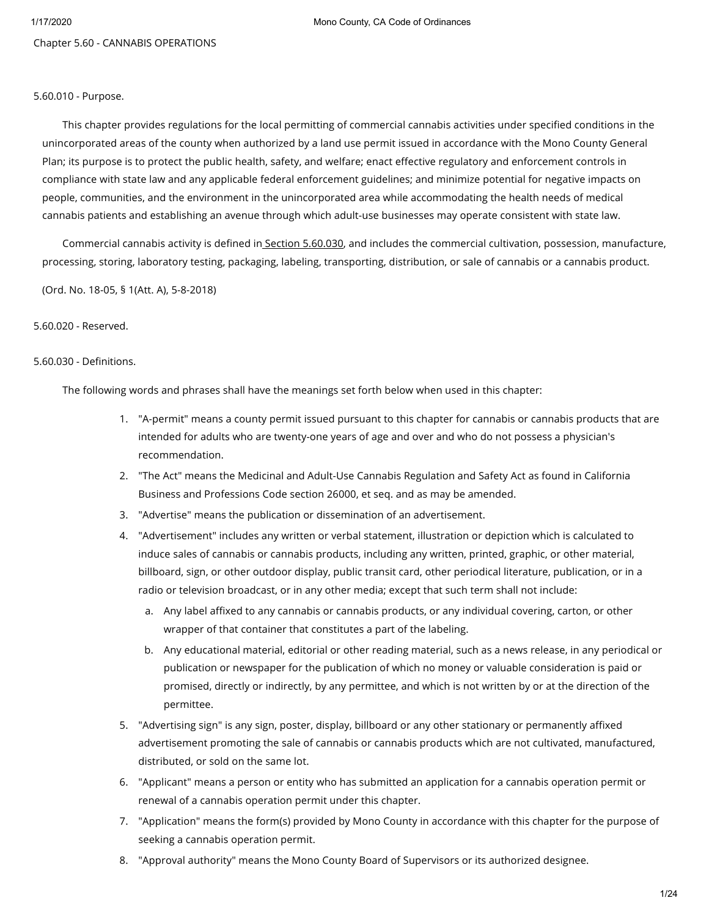Chapter 5.60 - CANNABIS OPERATIONS

## 5.60.010 - Purpose.

This chapter provides regulations for the local permitting of commercial cannabis activities under specified conditions in the unincorporated areas of the county when authorized by a land use permit issued in accordance with the Mono County General Plan; its purpose is to protect the public health, safety, and welfare; enact effective regulatory and enforcement controls in compliance with state law and any applicable federal enforcement guidelines; and minimize potential for negative impacts on people, communities, and the environment in the unincorporated area while accommodating the health needs of medical cannabis patients and establishing an avenue through which adult-use businesses may operate consistent with state law.

Commercial cannabis activity is defined in Section [5.60.030,](https://library.municode.com/) and includes the commercial cultivation, possession, manufacture, processing, storing, laboratory testing, packaging, labeling, transporting, distribution, or sale of cannabis or a cannabis product.

(Ord. No. 18-05, § 1(Att. A), 5-8-2018)

# 5.60.020 - Reserved.

# 5.60.030 - Definitions.

The following words and phrases shall have the meanings set forth below when used in this chapter:

- 1. "A-permit" means a county permit issued pursuant to this chapter for cannabis or cannabis products that are intended for adults who are twenty-one years of age and over and who do not possess a physician's recommendation.
- 2. "The Act" means the Medicinal and Adult-Use Cannabis Regulation and Safety Act as found in California Business and Professions Code section 26000, et seq. and as may be amended.
- 3. "Advertise" means the publication or dissemination of an advertisement.
- 4. "Advertisement" includes any written or verbal statement, illustration or depiction which is calculated to induce sales of cannabis or cannabis products, including any written, printed, graphic, or other material, billboard, sign, or other outdoor display, public transit card, other periodical literature, publication, or in a radio or television broadcast, or in any other media; except that such term shall not include:
	- a. Any label affixed to any cannabis or cannabis products, or any individual covering, carton, or other wrapper of that container that constitutes a part of the labeling.
	- b. Any educational material, editorial or other reading material, such as a news release, in any periodical or publication or newspaper for the publication of which no money or valuable consideration is paid or promised, directly or indirectly, by any permittee, and which is not written by or at the direction of the permittee.
- 5. "Advertising sign" is any sign, poster, display, billboard or any other stationary or permanently affixed advertisement promoting the sale of cannabis or cannabis products which are not cultivated, manufactured, distributed, or sold on the same lot.
- 6. "Applicant" means a person or entity who has submitted an application for a cannabis operation permit or renewal of a cannabis operation permit under this chapter.
- 7. "Application" means the form(s) provided by Mono County in accordance with this chapter for the purpose of seeking a cannabis operation permit.
- 8. "Approval authority" means the Mono County Board of Supervisors or its authorized designee.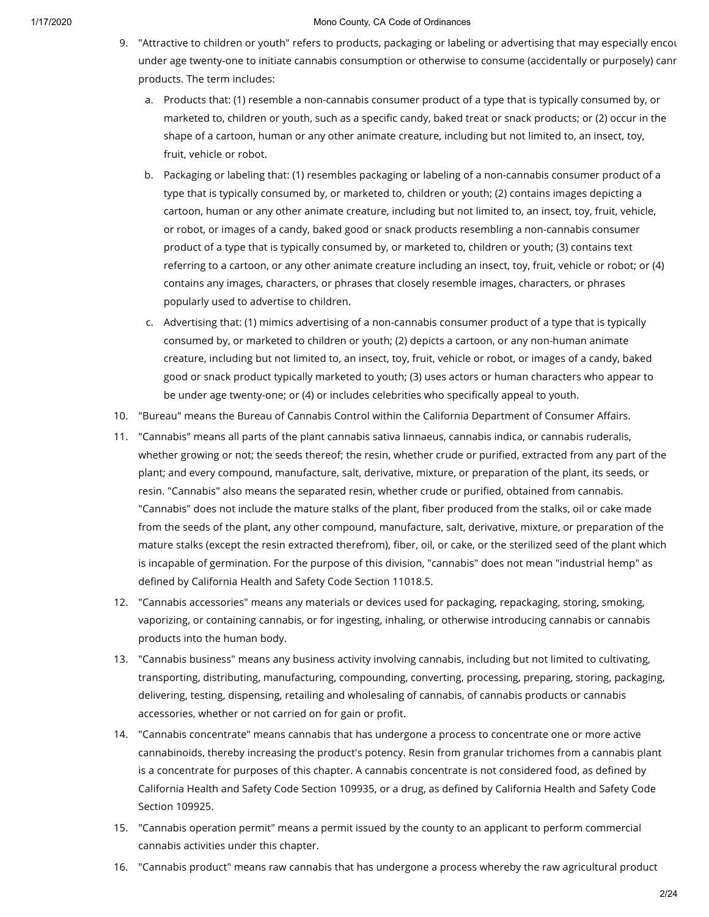- 9. "Attractive to children or youth" refers to products, packaging or labeling or advertising that may especially encou under age twenty-one to initiate cannabis consumption or otherwise to consume (accidentally or purposely) cann products. The term includes:
	- a. Products that: (1) resemble a non-cannabis consumer product of a type that is typically consumed by, or marketed to, children or youth, such as a specific candy, baked treat or snack products; or (2) occur in the shape of a cartoon, human or any other animate creature, including but not limited to, an insect, toy, fruit, vehicle or robot.
	- b. Packaging or labeling that: (1) resembles packaging or labeling of a non-cannabis consumer product of a type that is typically consumed by, or marketed to, children or youth; (2) contains images depicting a cartoon, human or any other animate creature, including but not limited to, an insect, toy, fruit, vehicle, or robot, or images of a candy, baked good or snack products resembling a non-cannabis consumer product of a type that is typically consumed by, or marketed to, children or youth; (3) contains text referring to a cartoon, or any other animate creature including an insect, toy, fruit, vehicle or robot; or (4) contains any images, characters, or phrases that closely resemble images, characters, or phrases popularly used to advertise to children.
	- c. Advertising that: (1) mimics advertising of a non-cannabis consumer product of a type that is typically consumed by, or marketed to children or youth; (2) depicts a cartoon, or any non-human animate creature, including but not limited to, an insect, toy, fruit, vehicle or robot, or images of a candy, baked good or snack product typically marketed to youth; (3) uses actors or human characters who appear to be under age twenty-one; or (4) or includes celebrities who specifically appeal to youth.
- 10. "Bureau" means the Bureau of Cannabis Control within the California Department of Consumer Affairs.
- 11. "Cannabis" means all parts of the plant cannabis sativa linnaeus, cannabis indica, or cannabis ruderalis, whether growing or not; the seeds thereof; the resin, whether crude or purified, extracted from any part of the plant; and every compound, manufacture, salt, derivative, mixture, or preparation of the plant, its seeds, or resin. "Cannabis" also means the separated resin, whether crude or purified, obtained from cannabis. "Cannabis" does not include the mature stalks of the plant, fiber produced from the stalks, oil or cake made from the seeds of the plant, any other compound, manufacture, salt, derivative, mixture, or preparation of the mature stalks (except the resin extracted therefrom), fiber, oil, or cake, or the sterilized seed of the plant which is incapable of germination. For the purpose of this division, "cannabis" does not mean "industrial hemp" as defined by California Health and Safety Code Section 11018.5.
- 12. "Cannabis accessories" means any materials or devices used for packaging, repackaging, storing, smoking, vaporizing, or containing cannabis, or for ingesting, inhaling, or otherwise introducing cannabis or cannabis products into the human body.
- 13. "Cannabis business" means any business activity involving cannabis, including but not limited to cultivating, transporting, distributing, manufacturing, compounding, converting, processing, preparing, storing, packaging, delivering, testing, dispensing, retailing and wholesaling of cannabis, of cannabis products or cannabis accessories, whether or not carried on for gain or profit.
- 14. "Cannabis concentrate" means cannabis that has undergone a process to concentrate one or more active cannabinoids, thereby increasing the product's potency. Resin from granular trichomes from a cannabis plant is a concentrate for purposes of this chapter. A cannabis concentrate is not considered food, as defined by California Health and Safety Code Section 109935, or a drug, as defined by California Health and Safety Code Section 109925.
- 15. "Cannabis operation permit" means a permit issued by the county to an applicant to perform commercial cannabis activities under this chapter.
- 16. "Cannabis product" means raw cannabis that has undergone a process whereby the raw agricultural product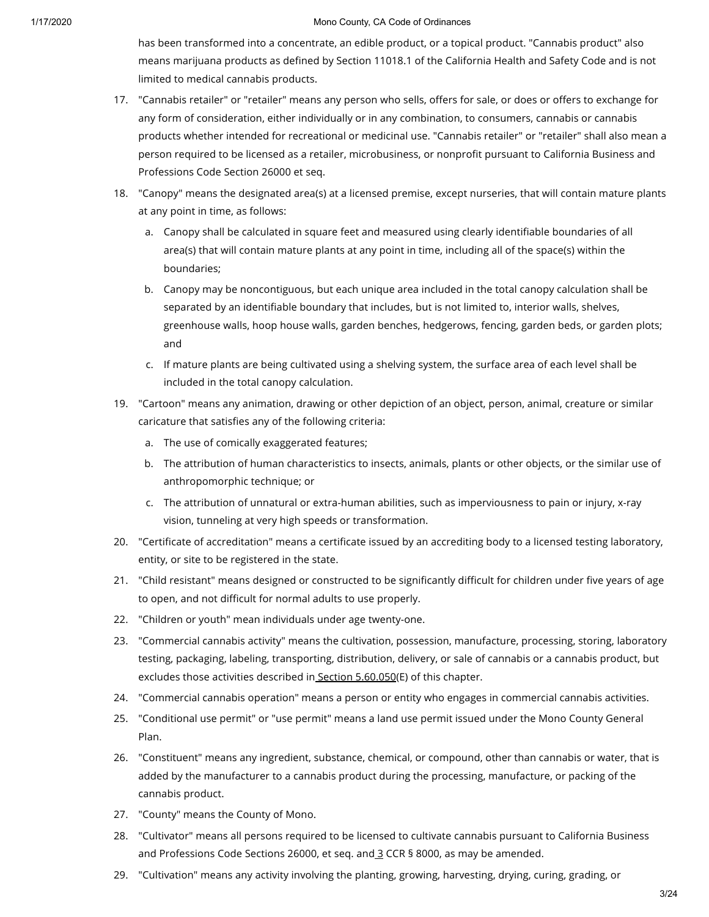has been transformed into a concentrate, an edible product, or a topical product. "Cannabis product" also means marijuana products as defined by Section 11018.1 of the California Health and Safety Code and is not limited to medical cannabis products.

- 17. "Cannabis retailer" or "retailer" means any person who sells, offers for sale, or does or offers to exchange for any form of consideration, either individually or in any combination, to consumers, cannabis or cannabis products whether intended for recreational or medicinal use. "Cannabis retailer" or "retailer" shall also mean a person required to be licensed as a retailer, microbusiness, or nonprofit pursuant to California Business and Professions Code Section 26000 et seq.
- 18. "Canopy" means the designated area(s) at a licensed premise, except nurseries, that will contain mature plants at any point in time, as follows:
	- a. Canopy shall be calculated in square feet and measured using clearly identifiable boundaries of all area(s) that will contain mature plants at any point in time, including all of the space(s) within the boundaries;
	- b. Canopy may be noncontiguous, but each unique area included in the total canopy calculation shall be separated by an identifiable boundary that includes, but is not limited to, interior walls, shelves, greenhouse walls, hoop house walls, garden benches, hedgerows, fencing, garden beds, or garden plots; and
	- c. If mature plants are being cultivated using a shelving system, the surface area of each level shall be included in the total canopy calculation.
- 19. "Cartoon" means any animation, drawing or other depiction of an object, person, animal, creature or similar caricature that satisfies any of the following criteria:
	- a. The use of comically exaggerated features;
	- b. The attribution of human characteristics to insects, animals, plants or other objects, or the similar use of anthropomorphic technique; or
	- c. The attribution of unnatural or extra-human abilities, such as imperviousness to pain or injury, x-ray vision, tunneling at very high speeds or transformation.
- 20. "Certificate of accreditation" means a certificate issued by an accrediting body to a licensed testing laboratory, entity, or site to be registered in the state.
- 21. "Child resistant" means designed or constructed to be significantly difficult for children under five years of age to open, and not difficult for normal adults to use properly.
- 22. "Children or youth" mean individuals under age twenty-one.
- 23. "Commercial cannabis activity" means the cultivation, possession, manufacture, processing, storing, laboratory testing, packaging, labeling, transporting, distribution, delivery, or sale of cannabis or a cannabis product, but excludes those activities described in Section [5.60.050](https://library.municode.com/)(E) of this chapter.
- 24. "Commercial cannabis operation" means a person or entity who engages in commercial cannabis activities.
- 25. "Conditional use permit" or "use permit" means a land use permit issued under the Mono County General Plan.
- 26. "Constituent" means any ingredient, substance, chemical, or compound, other than cannabis or water, that is added by the manufacturer to a cannabis product during the processing, manufacture, or packing of the cannabis product.
- 27. "County" means the County of Mono.
- 28. "Cultivator" means all persons required to be licensed to cultivate cannabis pursuant to California Business and Professions Code Sections 26000, et seq. and [3](https://library.municode.com/) CCR § 8000, as may be amended.
- 29. "Cultivation" means any activity involving the planting, growing, harvesting, drying, curing, grading, or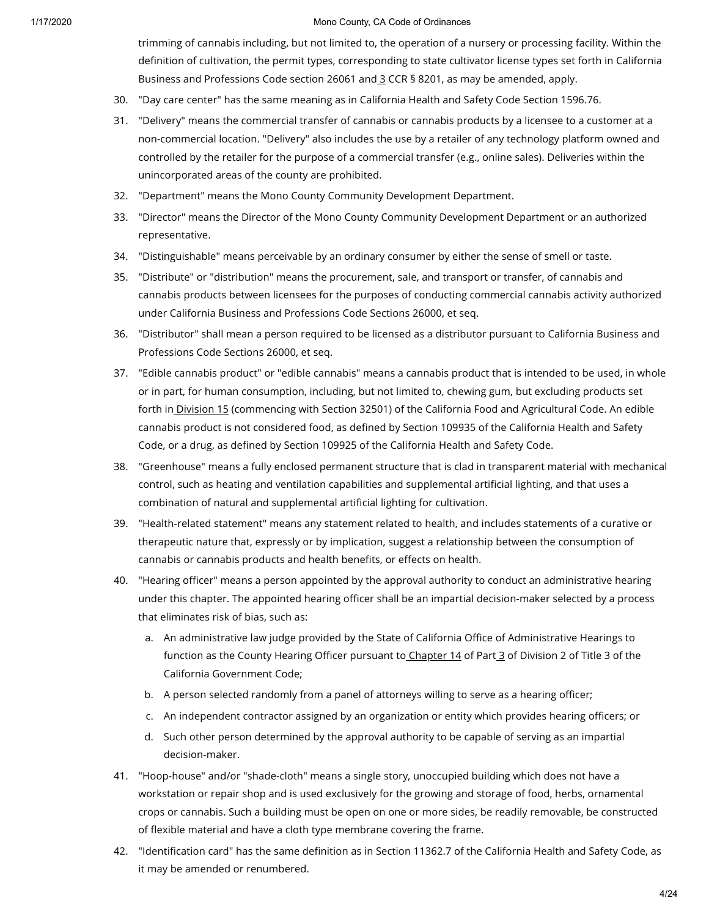trimming of cannabis including, but not limited to, the operation of a nursery or processing facility. Within the definition of cultivation, the permit types, corresponding to state cultivator license types set forth in California Business and Professions Code section 26061 and [3](https://library.municode.com/) CCR § 8201, as may be amended, apply.

- 30. "Day care center" has the same meaning as in California Health and Safety Code Section 1596.76.
- 31. "Delivery" means the commercial transfer of cannabis or cannabis products by a licensee to a customer at a non-commercial location. "Delivery" also includes the use by a retailer of any technology platform owned and controlled by the retailer for the purpose of a commercial transfer (e.g., online sales). Deliveries within the unincorporated areas of the county are prohibited.
- 32. "Department" means the Mono County Community Development Department.
- 33. "Director" means the Director of the Mono County Community Development Department or an authorized representative.
- 34. "Distinguishable" means perceivable by an ordinary consumer by either the sense of smell or taste.
- 35. "Distribute" or "distribution" means the procurement, sale, and transport or transfer, of cannabis and cannabis products between licensees for the purposes of conducting commercial cannabis activity authorized under California Business and Professions Code Sections 26000, et seq.
- 36. "Distributor" shall mean a person required to be licensed as a distributor pursuant to California Business and Professions Code Sections 26000, et seq.
- 37. "Edible cannabis product" or "edible cannabis" means a cannabis product that is intended to be used, in whole or in part, for human consumption, including, but not limited to, chewing gum, but excluding products set forth in **[Division](https://library.municode.com/) 15** (commencing with Section 32501) of the California Food and Agricultural Code. An edible cannabis product is not considered food, as defined by Section 109935 of the California Health and Safety Code, or a drug, as defined by Section 109925 of the California Health and Safety Code.
- 38. "Greenhouse" means a fully enclosed permanent structure that is clad in transparent material with mechanical control, such as heating and ventilation capabilities and supplemental artificial lighting, and that uses a combination of natural and supplemental artificial lighting for cultivation.
- 39. "Health-related statement" means any statement related to health, and includes statements of a curative or therapeutic nature that, expressly or by implication, suggest a relationship between the consumption of cannabis or cannabis products and health benefits, or effects on health.
- 40. "Hearing officer" means a person appointed by the approval authority to conduct an administrative hearing under this chapter. The appointed hearing officer shall be an impartial decision-maker selected by a process that eliminates risk of bias, such as:
	- a. An administrative law judge provided by the State of California Office of Administrative Hearings to function as the County Hearing Officer pursuant to [Chapter](https://library.municode.com/) 14 of Part [3](https://library.municode.com/) of Division 2 of Title 3 of the California Government Code;
	- b. A person selected randomly from a panel of attorneys willing to serve as a hearing officer;
	- c. An independent contractor assigned by an organization or entity which provides hearing officers; or
	- d. Such other person determined by the approval authority to be capable of serving as an impartial decision-maker.
- 41. "Hoop-house" and/or "shade-cloth" means a single story, unoccupied building which does not have a workstation or repair shop and is used exclusively for the growing and storage of food, herbs, ornamental crops or cannabis. Such a building must be open on one or more sides, be readily removable, be constructed of flexible material and have a cloth type membrane covering the frame.
- 42. "Identification card" has the same definition as in Section 11362.7 of the California Health and Safety Code, as it may be amended or renumbered.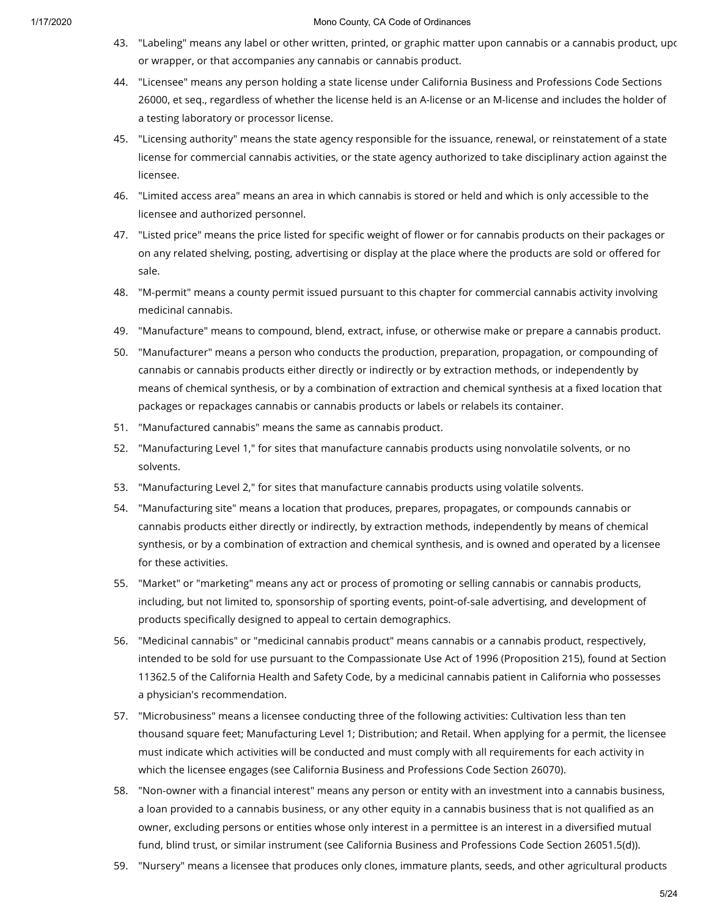- 43. "Labeling" means any label or other written, printed, or graphic matter upon cannabis or a cannabis product, upo or wrapper, or that accompanies any cannabis or cannabis product.
- 44. "Licensee" means any person holding a state license under California Business and Professions Code Sections 26000, et seq., regardless of whether the license held is an A-license or an M-license and includes the holder of a testing laboratory or processor license.
- 45. "Licensing authority" means the state agency responsible for the issuance, renewal, or reinstatement of a state license for commercial cannabis activities, or the state agency authorized to take disciplinary action against the licensee.
- 46. "Limited access area" means an area in which cannabis is stored or held and which is only accessible to the licensee and authorized personnel.
- 47. "Listed price" means the price listed for specific weight of flower or for cannabis products on their packages or on any related shelving, posting, advertising or display at the place where the products are sold or offered for sale.
- 48. "M-permit" means a county permit issued pursuant to this chapter for commercial cannabis activity involving medicinal cannabis.
- 49. "Manufacture" means to compound, blend, extract, infuse, or otherwise make or prepare a cannabis product.
- 50. "Manufacturer" means a person who conducts the production, preparation, propagation, or compounding of cannabis or cannabis products either directly or indirectly or by extraction methods, or independently by means of chemical synthesis, or by a combination of extraction and chemical synthesis at a fixed location that packages or repackages cannabis or cannabis products or labels or relabels its container.
- 51. "Manufactured cannabis" means the same as cannabis product.
- 52. "Manufacturing Level 1," for sites that manufacture cannabis products using nonvolatile solvents, or no solvents.
- 53. "Manufacturing Level 2," for sites that manufacture cannabis products using volatile solvents.
- 54. "Manufacturing site" means a location that produces, prepares, propagates, or compounds cannabis or cannabis products either directly or indirectly, by extraction methods, independently by means of chemical synthesis, or by a combination of extraction and chemical synthesis, and is owned and operated by a licensee for these activities.
- 55. "Market" or "marketing" means any act or process of promoting or selling cannabis or cannabis products, including, but not limited to, sponsorship of sporting events, point-of-sale advertising, and development of products specifically designed to appeal to certain demographics.
- 56. "Medicinal cannabis" or "medicinal cannabis product" means cannabis or a cannabis product, respectively, intended to be sold for use pursuant to the Compassionate Use Act of 1996 (Proposition 215), found at Section 11362.5 of the California Health and Safety Code, by a medicinal cannabis patient in California who possesses a physician's recommendation.
- 57. "Microbusiness" means a licensee conducting three of the following activities: Cultivation less than ten thousand square feet; Manufacturing Level 1; Distribution; and Retail. When applying for a permit, the licensee must indicate which activities will be conducted and must comply with all requirements for each activity in which the licensee engages (see California Business and Professions Code Section 26070).
- 58. "Non-owner with a financial interest" means any person or entity with an investment into a cannabis business, a loan provided to a cannabis business, or any other equity in a cannabis business that is not qualified as an owner, excluding persons or entities whose only interest in a permittee is an interest in a diversified mutual fund, blind trust, or similar instrument (see California Business and Professions Code Section 26051.5(d)).
- 59. "Nursery" means a licensee that produces only clones, immature plants, seeds, and other agricultural products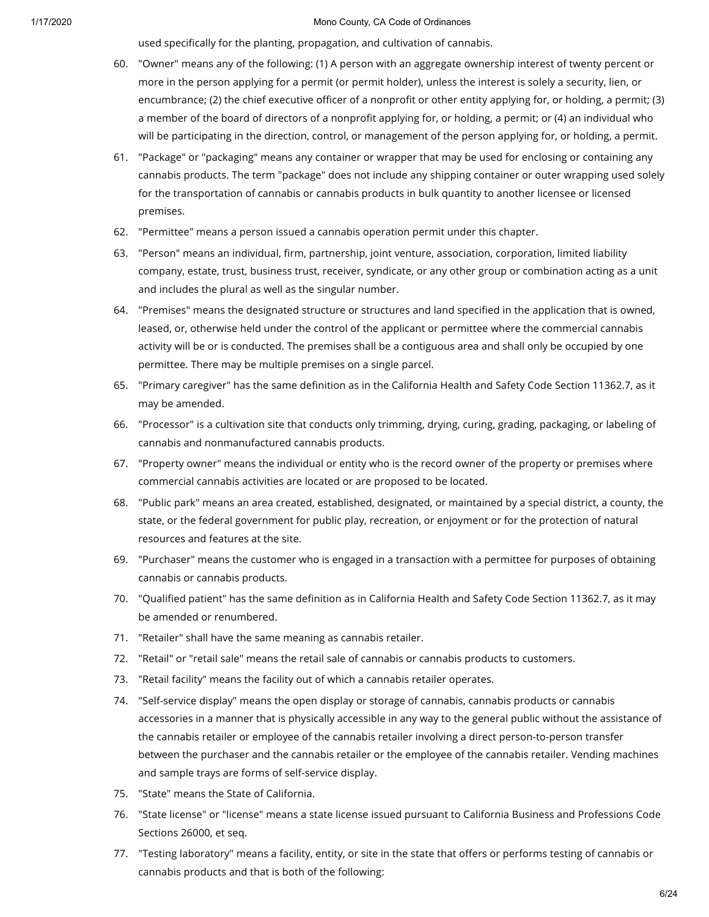used specifically for the planting, propagation, and cultivation of cannabis.

- 60. "Owner" means any of the following: (1) A person with an aggregate ownership interest of twenty percent or more in the person applying for a permit (or permit holder), unless the interest is solely a security, lien, or encumbrance; (2) the chief executive officer of a nonprofit or other entity applying for, or holding, a permit; (3) a member of the board of directors of a nonprofit applying for, or holding, a permit; or (4) an individual who will be participating in the direction, control, or management of the person applying for, or holding, a permit.
- 61. "Package" or "packaging" means any container or wrapper that may be used for enclosing or containing any cannabis products. The term "package" does not include any shipping container or outer wrapping used solely for the transportation of cannabis or cannabis products in bulk quantity to another licensee or licensed premises.
- 62. "Permittee" means a person issued a cannabis operation permit under this chapter.
- 63. "Person" means an individual, firm, partnership, joint venture, association, corporation, limited liability company, estate, trust, business trust, receiver, syndicate, or any other group or combination acting as a unit and includes the plural as well as the singular number.
- 64. "Premises" means the designated structure or structures and land specified in the application that is owned, leased, or, otherwise held under the control of the applicant or permittee where the commercial cannabis activity will be or is conducted. The premises shall be a contiguous area and shall only be occupied by one permittee. There may be multiple premises on a single parcel.
- 65. "Primary caregiver" has the same definition as in the California Health and Safety Code Section 11362.7, as it may be amended.
- 66. "Processor" is a cultivation site that conducts only trimming, drying, curing, grading, packaging, or labeling of cannabis and nonmanufactured cannabis products.
- 67. "Property owner" means the individual or entity who is the record owner of the property or premises where commercial cannabis activities are located or are proposed to be located.
- 68. "Public park" means an area created, established, designated, or maintained by a special district, a county, the state, or the federal government for public play, recreation, or enjoyment or for the protection of natural resources and features at the site.
- 69. "Purchaser" means the customer who is engaged in a transaction with a permittee for purposes of obtaining cannabis or cannabis products.
- 70. "Qualified patient" has the same definition as in California Health and Safety Code Section 11362.7, as it may be amended or renumbered.
- 71. "Retailer" shall have the same meaning as cannabis retailer.
- 72. "Retail" or "retail sale" means the retail sale of cannabis or cannabis products to customers.
- 73. "Retail facility" means the facility out of which a cannabis retailer operates.
- 74. "Self-service display" means the open display or storage of cannabis, cannabis products or cannabis accessories in a manner that is physically accessible in any way to the general public without the assistance of the cannabis retailer or employee of the cannabis retailer involving a direct person-to-person transfer between the purchaser and the cannabis retailer or the employee of the cannabis retailer. Vending machines and sample trays are forms of self-service display.
- 75. "State" means the State of California.
- 76. "State license" or "license" means a state license issued pursuant to California Business and Professions Code Sections 26000, et seq.
- 77. "Testing laboratory" means a facility, entity, or site in the state that offers or performs testing of cannabis or cannabis products and that is both of the following: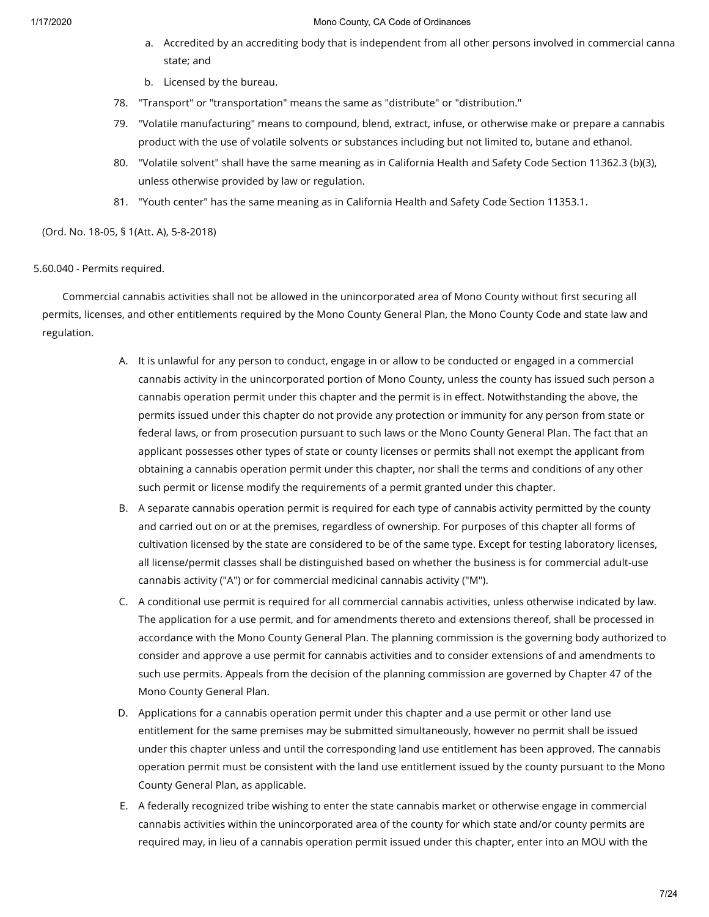- a. Accredited by an accrediting body that is independent from all other persons involved in commercial canna state; and
- b. Licensed by the bureau.
- 78. "Transport" or "transportation" means the same as "distribute" or "distribution."
- 79. "Volatile manufacturing" means to compound, blend, extract, infuse, or otherwise make or prepare a cannabis product with the use of volatile solvents or substances including but not limited to, butane and ethanol.
- 80. "Volatile solvent" shall have the same meaning as in California Health and Safety Code Section 11362.3 (b)(3), unless otherwise provided by law or regulation.
- 81. "Youth center" has the same meaning as in California Health and Safety Code Section 11353.1.

(Ord. No. 18-05, § 1(Att. A), 5-8-2018)

# 5.60.040 - Permits required.

Commercial cannabis activities shall not be allowed in the unincorporated area of Mono County without first securing all permits, licenses, and other entitlements required by the Mono County General Plan, the Mono County Code and state law and regulation.

- A. It is unlawful for any person to conduct, engage in or allow to be conducted or engaged in a commercial cannabis activity in the unincorporated portion of Mono County, unless the county has issued such person a cannabis operation permit under this chapter and the permit is in effect. Notwithstanding the above, the permits issued under this chapter do not provide any protection or immunity for any person from state or federal laws, or from prosecution pursuant to such laws or the Mono County General Plan. The fact that an applicant possesses other types of state or county licenses or permits shall not exempt the applicant from obtaining a cannabis operation permit under this chapter, nor shall the terms and conditions of any other such permit or license modify the requirements of a permit granted under this chapter.
- B. A separate cannabis operation permit is required for each type of cannabis activity permitted by the county and carried out on or at the premises, regardless of ownership. For purposes of this chapter all forms of cultivation licensed by the state are considered to be of the same type. Except for testing laboratory licenses, all license/permit classes shall be distinguished based on whether the business is for commercial adult-use cannabis activity ("A") or for commercial medicinal cannabis activity ("M").
- C. A conditional use permit is required for all commercial cannabis activities, unless otherwise indicated by law. The application for a use permit, and for amendments thereto and extensions thereof, shall be processed in accordance with the Mono County General Plan. The planning commission is the governing body authorized to consider and approve a use permit for cannabis activities and to consider extensions of and amendments to such use permits. Appeals from the decision of the planning commission are governed by Chapter 47 of the Mono County General Plan.
- D. Applications for a cannabis operation permit under this chapter and a use permit or other land use entitlement for the same premises may be submitted simultaneously, however no permit shall be issued under this chapter unless and until the corresponding land use entitlement has been approved. The cannabis operation permit must be consistent with the land use entitlement issued by the county pursuant to the Mono County General Plan, as applicable.
- E. A federally recognized tribe wishing to enter the state cannabis market or otherwise engage in commercial cannabis activities within the unincorporated area of the county for which state and/or county permits are required may, in lieu of a cannabis operation permit issued under this chapter, enter into an MOU with the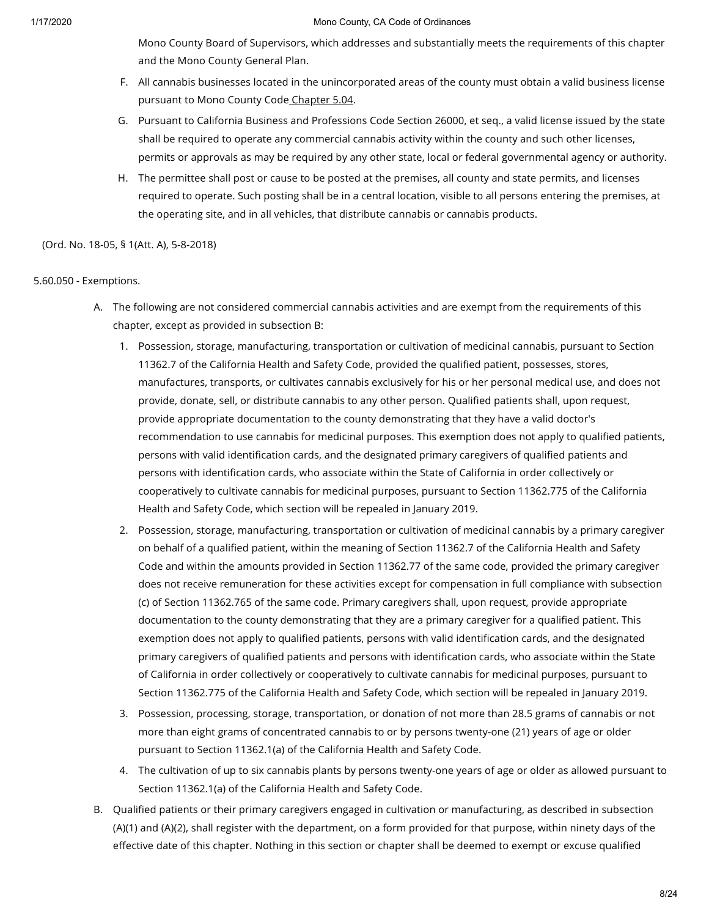Mono County Board of Supervisors, which addresses and substantially meets the requirements of this chapter and the Mono County General Plan.

- F. All cannabis businesses located in the unincorporated areas of the county must obtain a valid business license pursuant to Mono County Code [Chapter](https://library.municode.com/) 5.04.
- G. Pursuant to California Business and Professions Code Section 26000, et seq., a valid license issued by the state shall be required to operate any commercial cannabis activity within the county and such other licenses, permits or approvals as may be required by any other state, local or federal governmental agency or authority.
- H. The permittee shall post or cause to be posted at the premises, all county and state permits, and licenses required to operate. Such posting shall be in a central location, visible to all persons entering the premises, at the operating site, and in all vehicles, that distribute cannabis or cannabis products.

(Ord. No. 18-05, § 1(Att. A), 5-8-2018)

# 5.60.050 - Exemptions.

- A. The following are not considered commercial cannabis activities and are exempt from the requirements of this chapter, except as provided in subsection B:
	- 1. Possession, storage, manufacturing, transportation or cultivation of medicinal cannabis, pursuant to Section 11362.7 of the California Health and Safety Code, provided the qualified patient, possesses, stores, manufactures, transports, or cultivates cannabis exclusively for his or her personal medical use, and does not provide, donate, sell, or distribute cannabis to any other person. Qualified patients shall, upon request, provide appropriate documentation to the county demonstrating that they have a valid doctor's recommendation to use cannabis for medicinal purposes. This exemption does not apply to qualified patients, persons with valid identification cards, and the designated primary caregivers of qualified patients and persons with identification cards, who associate within the State of California in order collectively or cooperatively to cultivate cannabis for medicinal purposes, pursuant to Section 11362.775 of the California Health and Safety Code, which section will be repealed in January 2019.
	- 2. Possession, storage, manufacturing, transportation or cultivation of medicinal cannabis by a primary caregiver on behalf of a qualified patient, within the meaning of Section 11362.7 of the California Health and Safety Code and within the amounts provided in Section 11362.77 of the same code, provided the primary caregiver does not receive remuneration for these activities except for compensation in full compliance with subsection (c) of Section 11362.765 of the same code. Primary caregivers shall, upon request, provide appropriate documentation to the county demonstrating that they are a primary caregiver for a qualified patient. This exemption does not apply to qualified patients, persons with valid identification cards, and the designated primary caregivers of qualified patients and persons with identification cards, who associate within the State of California in order collectively or cooperatively to cultivate cannabis for medicinal purposes, pursuant to Section 11362.775 of the California Health and Safety Code, which section will be repealed in January 2019.
	- 3. Possession, processing, storage, transportation, or donation of not more than 28.5 grams of cannabis or not more than eight grams of concentrated cannabis to or by persons twenty-one (21) years of age or older pursuant to Section 11362.1(a) of the California Health and Safety Code.
	- 4. The cultivation of up to six cannabis plants by persons twenty-one years of age or older as allowed pursuant to Section 11362.1(a) of the California Health and Safety Code.
- B. Qualified patients or their primary caregivers engaged in cultivation or manufacturing, as described in subsection (A)(1) and (A)(2), shall register with the department, on a form provided for that purpose, within ninety days of the effective date of this chapter. Nothing in this section or chapter shall be deemed to exempt or excuse qualified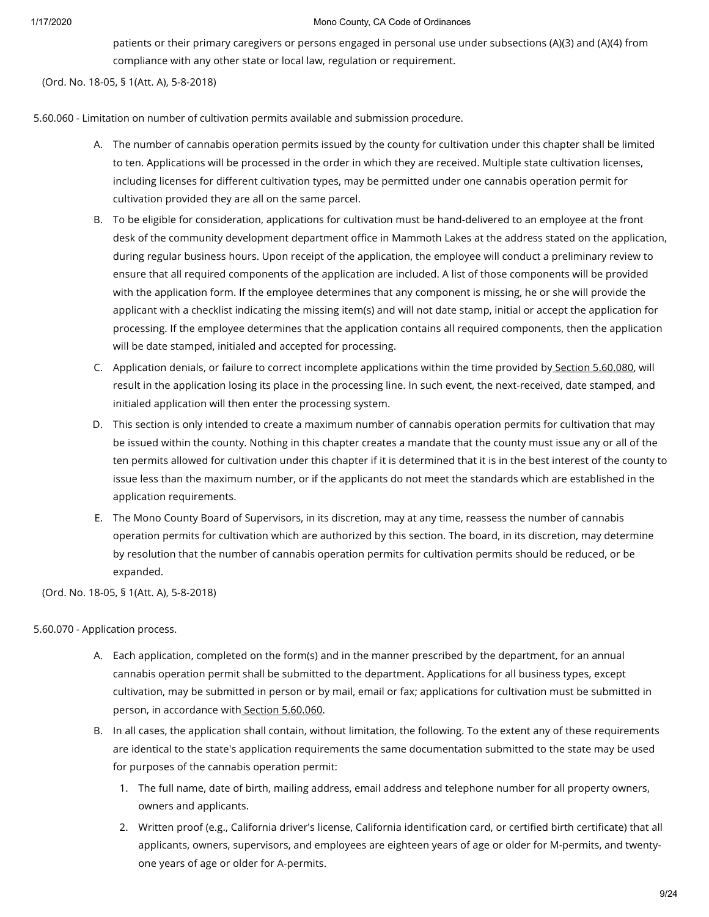patients or their primary caregivers or persons engaged in personal use under subsections (A)(3) and (A)(4) from compliance with any other state or local law, regulation or requirement.

(Ord. No. 18-05, § 1(Att. A), 5-8-2018)

5.60.060 - Limitation on number of cultivation permits available and submission procedure.

- A. The number of cannabis operation permits issued by the county for cultivation under this chapter shall be limited to ten. Applications will be processed in the order in which they are received. Multiple state cultivation licenses, including licenses for different cultivation types, may be permitted under one cannabis operation permit for cultivation provided they are all on the same parcel.
- B. To be eligible for consideration, applications for cultivation must be hand-delivered to an employee at the front desk of the community development department office in Mammoth Lakes at the address stated on the application, during regular business hours. Upon receipt of the application, the employee will conduct a preliminary review to ensure that all required components of the application are included. A list of those components will be provided with the application form. If the employee determines that any component is missing, he or she will provide the applicant with a checklist indicating the missing item(s) and will not date stamp, initial or accept the application for processing. If the employee determines that the application contains all required components, then the application will be date stamped, initialed and accepted for processing.
- C. Application denials, or failure to correct incomplete applications within the time provided by Section [5.60.080](https://library.municode.com/), will result in the application losing its place in the processing line. In such event, the next-received, date stamped, and initialed application will then enter the processing system.
- D. This section is only intended to create a maximum number of cannabis operation permits for cultivation that may be issued within the county. Nothing in this chapter creates a mandate that the county must issue any or all of the ten permits allowed for cultivation under this chapter if it is determined that it is in the best interest of the county to issue less than the maximum number, or if the applicants do not meet the standards which are established in the application requirements.
- E. The Mono County Board of Supervisors, in its discretion, may at any time, reassess the number of cannabis operation permits for cultivation which are authorized by this section. The board, in its discretion, may determine by resolution that the number of cannabis operation permits for cultivation permits should be reduced, or be expanded.

(Ord. No. 18-05, § 1(Att. A), 5-8-2018)

# 5.60.070 - Application process.

- A. Each application, completed on the form(s) and in the manner prescribed by the department, for an annual cannabis operation permit shall be submitted to the department. Applications for all business types, except cultivation, may be submitted in person or by mail, email or fax; applications for cultivation must be submitted in person, in accordance with Section [5.60.060.](https://library.municode.com/)
- B. In all cases, the application shall contain, without limitation, the following. To the extent any of these requirements are identical to the state's application requirements the same documentation submitted to the state may be used for purposes of the cannabis operation permit:
	- 1. The full name, date of birth, mailing address, email address and telephone number for all property owners, owners and applicants.
	- 2. Written proof (e.g., California driver's license, California identification card, or certified birth certificate) that all applicants, owners, supervisors, and employees are eighteen years of age or older for M-permits, and twentyone years of age or older for A-permits.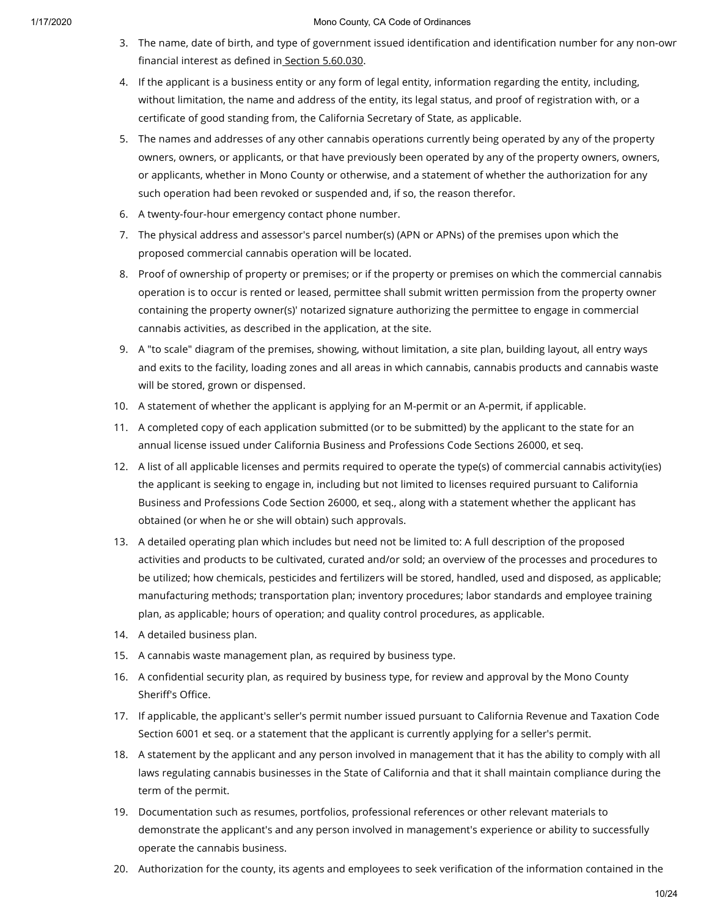- 3. The name, date of birth, and type of government issued identification and identification number for any non-own financial interest as defined in Section [5.60.030.](https://library.municode.com/)
- 4. If the applicant is a business entity or any form of legal entity, information regarding the entity, including, without limitation, the name and address of the entity, its legal status, and proof of registration with, or a certificate of good standing from, the California Secretary of State, as applicable.
- 5. The names and addresses of any other cannabis operations currently being operated by any of the property owners, owners, or applicants, or that have previously been operated by any of the property owners, owners, or applicants, whether in Mono County or otherwise, and a statement of whether the authorization for any such operation had been revoked or suspended and, if so, the reason therefor.
- 6. A twenty-four-hour emergency contact phone number.
- 7. The physical address and assessor's parcel number(s) (APN or APNs) of the premises upon which the proposed commercial cannabis operation will be located.
- 8. Proof of ownership of property or premises; or if the property or premises on which the commercial cannabis operation is to occur is rented or leased, permittee shall submit written permission from the property owner containing the property owner(s)' notarized signature authorizing the permittee to engage in commercial cannabis activities, as described in the application, at the site.
- 9. A "to scale" diagram of the premises, showing, without limitation, a site plan, building layout, all entry ways and exits to the facility, loading zones and all areas in which cannabis, cannabis products and cannabis waste will be stored, grown or dispensed.
- 10. A statement of whether the applicant is applying for an M-permit or an A-permit, if applicable.
- 11. A completed copy of each application submitted (or to be submitted) by the applicant to the state for an annual license issued under California Business and Professions Code Sections 26000, et seq.
- 12. A list of all applicable licenses and permits required to operate the type(s) of commercial cannabis activity(ies) the applicant is seeking to engage in, including but not limited to licenses required pursuant to California Business and Professions Code Section 26000, et seq., along with a statement whether the applicant has obtained (or when he or she will obtain) such approvals.
- 13. A detailed operating plan which includes but need not be limited to: A full description of the proposed activities and products to be cultivated, curated and/or sold; an overview of the processes and procedures to be utilized; how chemicals, pesticides and fertilizers will be stored, handled, used and disposed, as applicable; manufacturing methods; transportation plan; inventory procedures; labor standards and employee training plan, as applicable; hours of operation; and quality control procedures, as applicable.
- 14. A detailed business plan.
- 15. A cannabis waste management plan, as required by business type.
- 16. A confidential security plan, as required by business type, for review and approval by the Mono County Sheriff's Office.
- 17. If applicable, the applicant's seller's permit number issued pursuant to California Revenue and Taxation Code Section 6001 et seq. or a statement that the applicant is currently applying for a seller's permit.
- 18. A statement by the applicant and any person involved in management that it has the ability to comply with all laws regulating cannabis businesses in the State of California and that it shall maintain compliance during the term of the permit.
- 19. Documentation such as resumes, portfolios, professional references or other relevant materials to demonstrate the applicant's and any person involved in management's experience or ability to successfully operate the cannabis business.
- 20. Authorization for the county, its agents and employees to seek verification of the information contained in the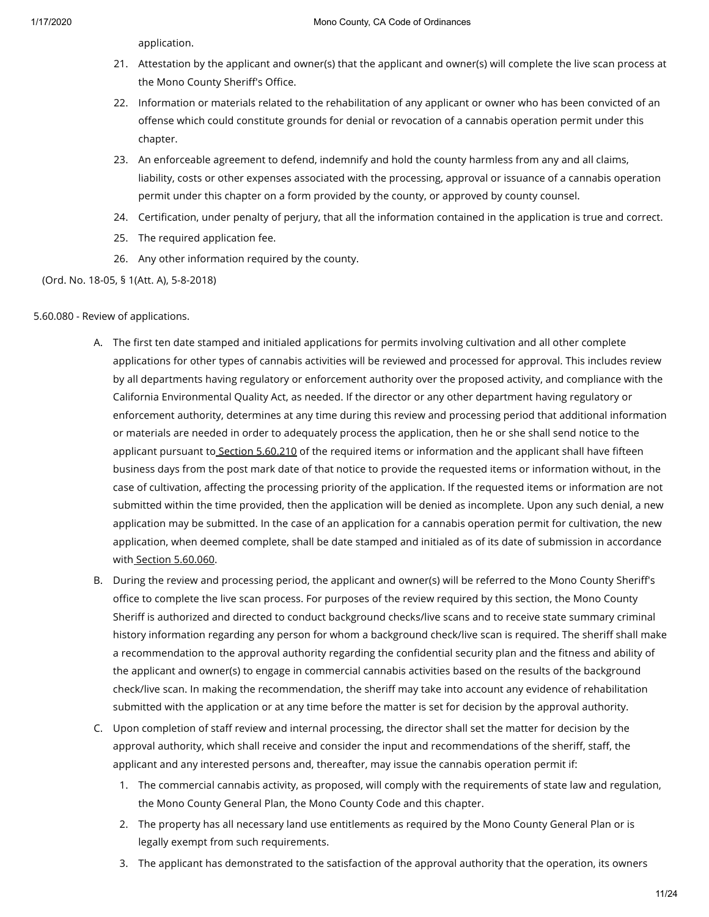application.

- 21. Attestation by the applicant and owner(s) that the applicant and owner(s) will complete the live scan process at the Mono County Sheriff's Office.
- 22. Information or materials related to the rehabilitation of any applicant or owner who has been convicted of an offense which could constitute grounds for denial or revocation of a cannabis operation permit under this chapter.
- 23. An enforceable agreement to defend, indemnify and hold the county harmless from any and all claims, liability, costs or other expenses associated with the processing, approval or issuance of a cannabis operation permit under this chapter on a form provided by the county, or approved by county counsel.
- 24. Certification, under penalty of perjury, that all the information contained in the application is true and correct.
- 25. The required application fee.
- 26. Any other information required by the county.

# (Ord. No. 18-05, § 1(Att. A), 5-8-2018)

# 5.60.080 - Review of applications.

- A. The first ten date stamped and initialed applications for permits involving cultivation and all other complete applications for other types of cannabis activities will be reviewed and processed for approval. This includes review by all departments having regulatory or enforcement authority over the proposed activity, and compliance with the California Environmental Quality Act, as needed. If the director or any other department having regulatory or enforcement authority, determines at any time during this review and processing period that additional information or materials are needed in order to adequately process the application, then he or she shall send notice to the applicant pursuant to Section [5.60.210](https://library.municode.com/) of the required items or information and the applicant shall have fifteen business days from the post mark date of that notice to provide the requested items or information without, in the case of cultivation, affecting the processing priority of the application. If the requested items or information are not submitted within the time provided, then the application will be denied as incomplete. Upon any such denial, a new application may be submitted. In the case of an application for a cannabis operation permit for cultivation, the new application, when deemed complete, shall be date stamped and initialed as of its date of submission in accordance with Section [5.60.060.](https://library.municode.com/)
- B. During the review and processing period, the applicant and owner(s) will be referred to the Mono County Sheriff's office to complete the live scan process. For purposes of the review required by this section, the Mono County Sheriff is authorized and directed to conduct background checks/live scans and to receive state summary criminal history information regarding any person for whom a background check/live scan is required. The sheriff shall make a recommendation to the approval authority regarding the confidential security plan and the fitness and ability of the applicant and owner(s) to engage in commercial cannabis activities based on the results of the background check/live scan. In making the recommendation, the sheriff may take into account any evidence of rehabilitation submitted with the application or at any time before the matter is set for decision by the approval authority.
- C. Upon completion of staff review and internal processing, the director shall set the matter for decision by the approval authority, which shall receive and consider the input and recommendations of the sheriff, staff, the applicant and any interested persons and, thereafter, may issue the cannabis operation permit if:
	- 1. The commercial cannabis activity, as proposed, will comply with the requirements of state law and regulation, the Mono County General Plan, the Mono County Code and this chapter.
	- 2. The property has all necessary land use entitlements as required by the Mono County General Plan or is legally exempt from such requirements.
	- 3. The applicant has demonstrated to the satisfaction of the approval authority that the operation, its owners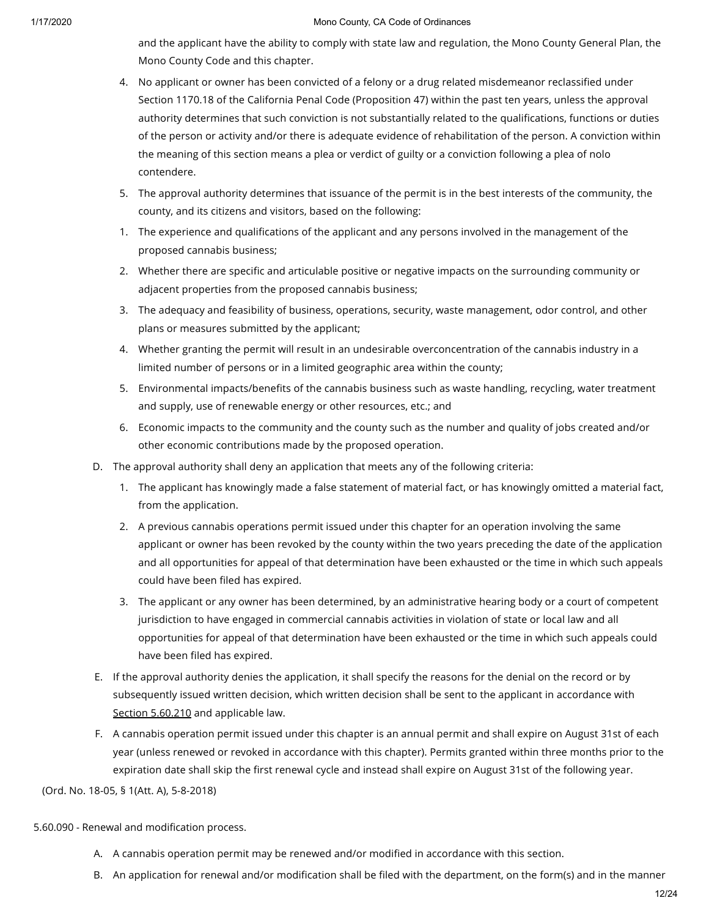and the applicant have the ability to comply with state law and regulation, the Mono County General Plan, the Mono County Code and this chapter.

- 4. No applicant or owner has been convicted of a felony or a drug related misdemeanor reclassified under Section 1170.18 of the California Penal Code (Proposition 47) within the past ten years, unless the approval authority determines that such conviction is not substantially related to the qualifications, functions or duties of the person or activity and/or there is adequate evidence of rehabilitation of the person. A conviction within the meaning of this section means a plea or verdict of guilty or a conviction following a plea of nolo contendere.
- 5. The approval authority determines that issuance of the permit is in the best interests of the community, the county, and its citizens and visitors, based on the following:
- 1. The experience and qualifications of the applicant and any persons involved in the management of the proposed cannabis business;
- 2. Whether there are specific and articulable positive or negative impacts on the surrounding community or adjacent properties from the proposed cannabis business;
- 3. The adequacy and feasibility of business, operations, security, waste management, odor control, and other plans or measures submitted by the applicant;
- 4. Whether granting the permit will result in an undesirable overconcentration of the cannabis industry in a limited number of persons or in a limited geographic area within the county;
- 5. Environmental impacts/benefits of the cannabis business such as waste handling, recycling, water treatment and supply, use of renewable energy or other resources, etc.; and
- 6. Economic impacts to the community and the county such as the number and quality of jobs created and/or other economic contributions made by the proposed operation.
- D. The approval authority shall deny an application that meets any of the following criteria:
	- 1. The applicant has knowingly made a false statement of material fact, or has knowingly omitted a material fact, from the application.
	- 2. A previous cannabis operations permit issued under this chapter for an operation involving the same applicant or owner has been revoked by the county within the two years preceding the date of the application and all opportunities for appeal of that determination have been exhausted or the time in which such appeals could have been filed has expired.
	- 3. The applicant or any owner has been determined, by an administrative hearing body or a court of competent jurisdiction to have engaged in commercial cannabis activities in violation of state or local law and all opportunities for appeal of that determination have been exhausted or the time in which such appeals could have been filed has expired.
- E. If the approval authority denies the application, it shall specify the reasons for the denial on the record or by subsequently issued written decision, which written decision shall be sent to the applicant in accordance with Section [5.60.210](https://library.municode.com/) and applicable law.
- F. A cannabis operation permit issued under this chapter is an annual permit and shall expire on August 31st of each year (unless renewed or revoked in accordance with this chapter). Permits granted within three months prior to the expiration date shall skip the first renewal cycle and instead shall expire on August 31st of the following year.

(Ord. No. 18-05, § 1(Att. A), 5-8-2018)

5.60.090 - Renewal and modification process.

- A. A cannabis operation permit may be renewed and/or modified in accordance with this section.
- B. An application for renewal and/or modification shall be filed with the department, on the form(s) and in the manner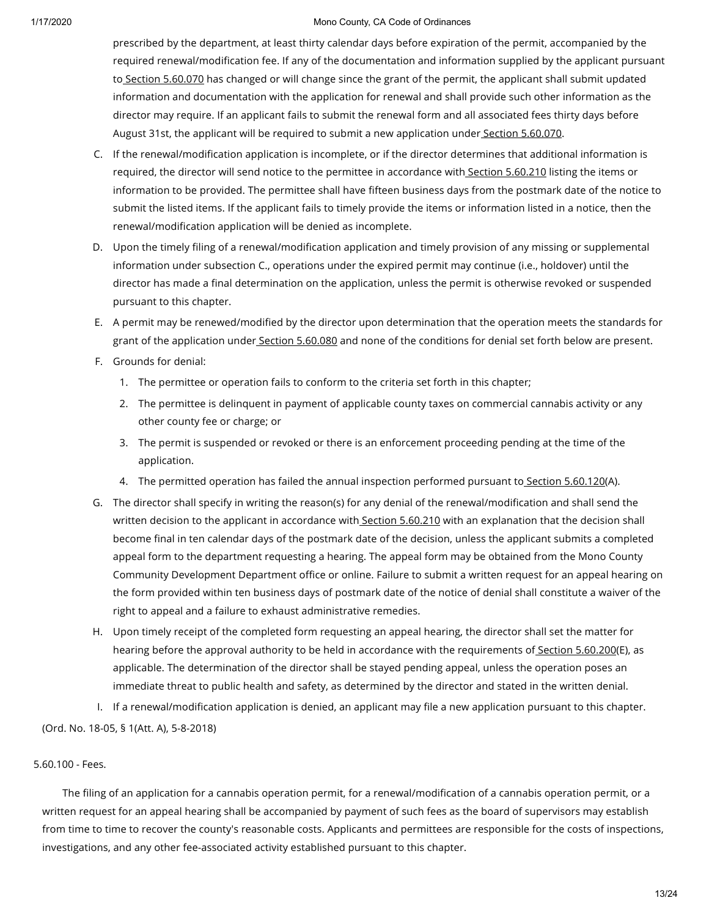prescribed by the department, at least thirty calendar days before expiration of the permit, accompanied by the required renewal/modification fee. If any of the documentation and information supplied by the applicant pursuant to Section [5.60.070](https://library.municode.com/) has changed or will change since the grant of the permit, the applicant shall submit updated information and documentation with the application for renewal and shall provide such other information as the director may require. If an applicant fails to submit the renewal form and all associated fees thirty days before August 31st, the applicant will be required to submit a new application under Section [5.60.070](https://library.municode.com/).

- C. If the renewal/modification application is incomplete, or if the director determines that additional information is required, the director will send notice to the permittee in accordance with Section [5.60.210](https://library.municode.com/) listing the items or information to be provided. The permittee shall have fifteen business days from the postmark date of the notice to submit the listed items. If the applicant fails to timely provide the items or information listed in a notice, then the renewal/modification application will be denied as incomplete.
- D. Upon the timely filing of a renewal/modification application and timely provision of any missing or supplemental information under subsection C., operations under the expired permit may continue (i.e., holdover) until the director has made a final determination on the application, unless the permit is otherwise revoked or suspended pursuant to this chapter.
- E. A permit may be renewed/modified by the director upon determination that the operation meets the standards for grant of the application under Section [5.60.080](https://library.municode.com/) and none of the conditions for denial set forth below are present.
- F. Grounds for denial:
	- 1. The permittee or operation fails to conform to the criteria set forth in this chapter;
	- 2. The permittee is delinquent in payment of applicable county taxes on commercial cannabis activity or any other county fee or charge; or
	- 3. The permit is suspended or revoked or there is an enforcement proceeding pending at the time of the application.
	- 4. The permitted operation has failed the annual inspection performed pursuant to Section [5.60.120\(](https://library.municode.com/)A).
- G. The director shall specify in writing the reason(s) for any denial of the renewal/modification and shall send the written decision to the applicant in accordance with Section [5.60.210](https://library.municode.com/) with an explanation that the decision shall become final in ten calendar days of the postmark date of the decision, unless the applicant submits a completed appeal form to the department requesting a hearing. The appeal form may be obtained from the Mono County Community Development Department office or online. Failure to submit a written request for an appeal hearing on the form provided within ten business days of postmark date of the notice of denial shall constitute a waiver of the right to appeal and a failure to exhaust administrative remedies.
- H. Upon timely receipt of the completed form requesting an appeal hearing, the director shall set the matter for hearing before the approval authority to be held in accordance with the requirements of Section [5.60.200](https://library.municode.com/)(E), as applicable. The determination of the director shall be stayed pending appeal, unless the operation poses an immediate threat to public health and safety, as determined by the director and stated in the written denial.
- I. If a renewal/modification application is denied, an applicant may file a new application pursuant to this chapter. (Ord. No. 18-05, § 1(Att. A), 5-8-2018)

# 5.60.100 - Fees.

The filing of an application for a cannabis operation permit, for a renewal/modification of a cannabis operation permit, or a written request for an appeal hearing shall be accompanied by payment of such fees as the board of supervisors may establish from time to time to recover the county's reasonable costs. Applicants and permittees are responsible for the costs of inspections, investigations, and any other fee-associated activity established pursuant to this chapter.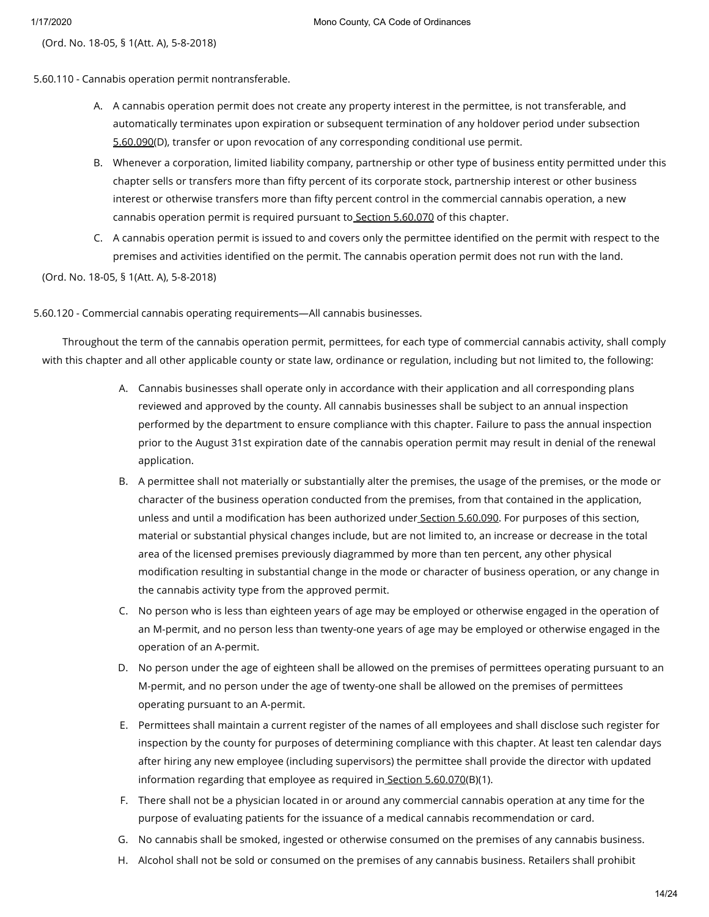(Ord. No. 18-05, § 1(Att. A), 5-8-2018)

5.60.110 - Cannabis operation permit nontransferable.

- A. A cannabis operation permit does not create any property interest in the permittee, is not transferable, and automatically terminates upon expiration or subsequent termination of any holdover period under subsection [5.60.090\(](https://library.municode.com/)D), transfer or upon revocation of any corresponding conditional use permit.
- B. Whenever a corporation, limited liability company, partnership or other type of business entity permitted under this chapter sells or transfers more than fifty percent of its corporate stock, partnership interest or other business interest or otherwise transfers more than fifty percent control in the commercial cannabis operation, a new cannabis operation permit is required pursuant to Section [5.60.070](https://library.municode.com/) of this chapter.
- C. A cannabis operation permit is issued to and covers only the permittee identified on the permit with respect to the premises and activities identified on the permit. The cannabis operation permit does not run with the land.

(Ord. No. 18-05, § 1(Att. A), 5-8-2018)

5.60.120 - Commercial cannabis operating requirements—All cannabis businesses.

Throughout the term of the cannabis operation permit, permittees, for each type of commercial cannabis activity, shall comply with this chapter and all other applicable county or state law, ordinance or regulation, including but not limited to, the following:

- A. Cannabis businesses shall operate only in accordance with their application and all corresponding plans reviewed and approved by the county. All cannabis businesses shall be subject to an annual inspection performed by the department to ensure compliance with this chapter. Failure to pass the annual inspection prior to the August 31st expiration date of the cannabis operation permit may result in denial of the renewal application.
- B. A permittee shall not materially or substantially alter the premises, the usage of the premises, or the mode or character of the business operation conducted from the premises, from that contained in the application, unless and until a modification has been authorized under Section [5.60.090.](https://library.municode.com/) For purposes of this section, material or substantial physical changes include, but are not limited to, an increase or decrease in the total area of the licensed premises previously diagrammed by more than ten percent, any other physical modification resulting in substantial change in the mode or character of business operation, or any change in the cannabis activity type from the approved permit.
- C. No person who is less than eighteen years of age may be employed or otherwise engaged in the operation of an M-permit, and no person less than twenty-one years of age may be employed or otherwise engaged in the operation of an A-permit.
- D. No person under the age of eighteen shall be allowed on the premises of permittees operating pursuant to an M-permit, and no person under the age of twenty-one shall be allowed on the premises of permittees operating pursuant to an A-permit.
- E. Permittees shall maintain a current register of the names of all employees and shall disclose such register for inspection by the county for purposes of determining compliance with this chapter. At least ten calendar days after hiring any new employee (including supervisors) the permittee shall provide the director with updated information regarding that employee as required in Section [5.60.070](https://library.municode.com/)(B)(1).
- F. There shall not be a physician located in or around any commercial cannabis operation at any time for the purpose of evaluating patients for the issuance of a medical cannabis recommendation or card.
- G. No cannabis shall be smoked, ingested or otherwise consumed on the premises of any cannabis business.
- H. Alcohol shall not be sold or consumed on the premises of any cannabis business. Retailers shall prohibit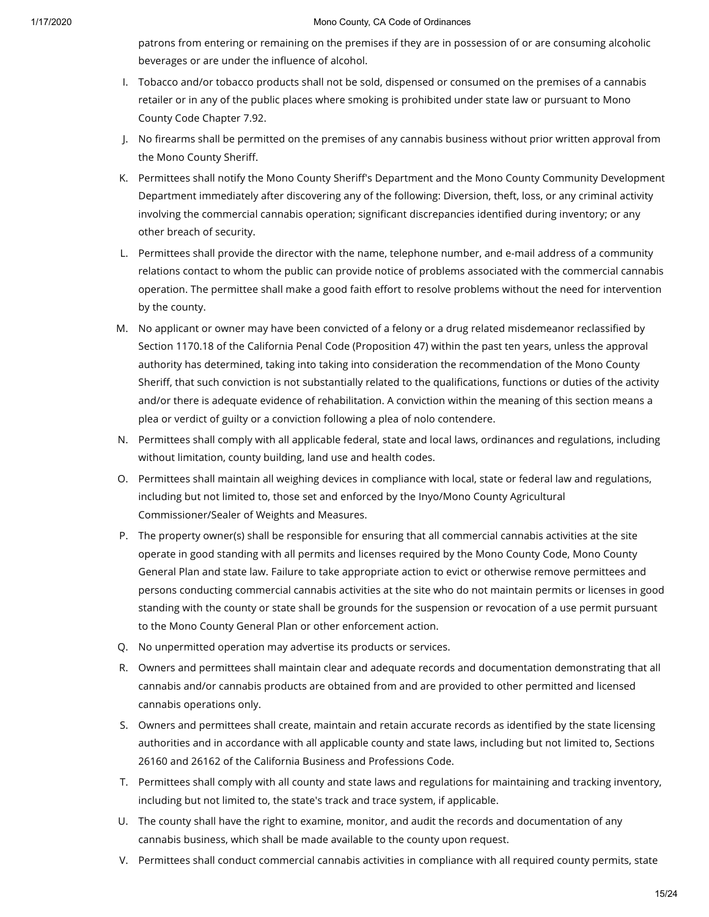patrons from entering or remaining on the premises if they are in possession of or are consuming alcoholic beverages or are under the influence of alcohol.

- I. Tobacco and/or tobacco products shall not be sold, dispensed or consumed on the premises of a cannabis retailer or in any of the public places where smoking is prohibited under state law or pursuant to Mono County Code Chapter 7.92.
- J. No firearms shall be permitted on the premises of any cannabis business without prior written approval from the Mono County Sheriff.
- K. Permittees shall notify the Mono County Sheriff's Department and the Mono County Community Development Department immediately after discovering any of the following: Diversion, theft, loss, or any criminal activity involving the commercial cannabis operation; significant discrepancies identified during inventory; or any other breach of security.
- L. Permittees shall provide the director with the name, telephone number, and e-mail address of a community relations contact to whom the public can provide notice of problems associated with the commercial cannabis operation. The permittee shall make a good faith effort to resolve problems without the need for intervention by the county.
- M. No applicant or owner may have been convicted of a felony or a drug related misdemeanor reclassified by Section 1170.18 of the California Penal Code (Proposition 47) within the past ten years, unless the approval authority has determined, taking into taking into consideration the recommendation of the Mono County Sheriff, that such conviction is not substantially related to the qualifications, functions or duties of the activity and/or there is adequate evidence of rehabilitation. A conviction within the meaning of this section means a plea or verdict of guilty or a conviction following a plea of nolo contendere.
- N. Permittees shall comply with all applicable federal, state and local laws, ordinances and regulations, including without limitation, county building, land use and health codes.
- O. Permittees shall maintain all weighing devices in compliance with local, state or federal law and regulations, including but not limited to, those set and enforced by the Inyo/Mono County Agricultural Commissioner/Sealer of Weights and Measures.
- P. The property owner(s) shall be responsible for ensuring that all commercial cannabis activities at the site operate in good standing with all permits and licenses required by the Mono County Code, Mono County General Plan and state law. Failure to take appropriate action to evict or otherwise remove permittees and persons conducting commercial cannabis activities at the site who do not maintain permits or licenses in good standing with the county or state shall be grounds for the suspension or revocation of a use permit pursuant to the Mono County General Plan or other enforcement action.
- Q. No unpermitted operation may advertise its products or services.
- R. Owners and permittees shall maintain clear and adequate records and documentation demonstrating that all cannabis and/or cannabis products are obtained from and are provided to other permitted and licensed cannabis operations only.
- S. Owners and permittees shall create, maintain and retain accurate records as identified by the state licensing authorities and in accordance with all applicable county and state laws, including but not limited to, Sections 26160 and 26162 of the California Business and Professions Code.
- T. Permittees shall comply with all county and state laws and regulations for maintaining and tracking inventory, including but not limited to, the state's track and trace system, if applicable.
- U. The county shall have the right to examine, monitor, and audit the records and documentation of any cannabis business, which shall be made available to the county upon request.
- V. Permittees shall conduct commercial cannabis activities in compliance with all required county permits, state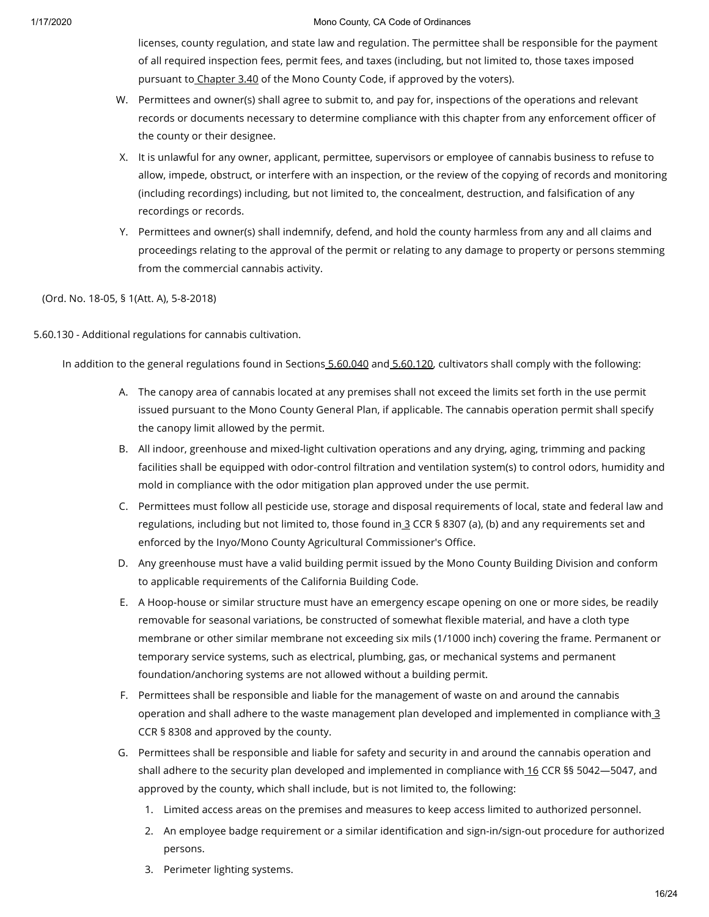licenses, county regulation, and state law and regulation. The permittee shall be responsible for the payment of all required inspection fees, permit fees, and taxes (including, but not limited to, those taxes imposed pursuant to [Chapter](https://library.municode.com/) 3.40 of the Mono County Code, if approved by the voters).

- W. Permittees and owner(s) shall agree to submit to, and pay for, inspections of the operations and relevant records or documents necessary to determine compliance with this chapter from any enforcement officer of the county or their designee.
- X. It is unlawful for any owner, applicant, permittee, supervisors or employee of cannabis business to refuse to allow, impede, obstruct, or interfere with an inspection, or the review of the copying of records and monitoring (including recordings) including, but not limited to, the concealment, destruction, and falsification of any recordings or records.
- Y. Permittees and owner(s) shall indemnify, defend, and hold the county harmless from any and all claims and proceedings relating to the approval of the permit or relating to any damage to property or persons stemming from the commercial cannabis activity.

# (Ord. No. 18-05, § 1(Att. A), 5-8-2018)

# 5.60.130 - Additional regulations for cannabis cultivation.

In addition to the general regulations found in Sections [5.60.040](https://library.municode.com/) and [5.60.120](https://library.municode.com/), cultivators shall comply with the following:

- A. The canopy area of cannabis located at any premises shall not exceed the limits set forth in the use permit issued pursuant to the Mono County General Plan, if applicable. The cannabis operation permit shall specify the canopy limit allowed by the permit.
- B. All indoor, greenhouse and mixed-light cultivation operations and any drying, aging, trimming and packing facilities shall be equipped with odor-control filtration and ventilation system(s) to control odors, humidity and mold in compliance with the odor mitigation plan approved under the use permit.
- C. Permittees must follow all pesticide use, storage and disposal requirements of local, state and federal law and regulations, including but not limited to, those found in [3](https://library.municode.com/) CCR § 8307 (a), (b) and any requirements set and enforced by the Inyo/Mono County Agricultural Commissioner's Office.
- D. Any greenhouse must have a valid building permit issued by the Mono County Building Division and conform to applicable requirements of the California Building Code.
- E. A Hoop-house or similar structure must have an emergency escape opening on one or more sides, be readily removable for seasonal variations, be constructed of somewhat flexible material, and have a cloth type membrane or other similar membrane not exceeding six mils (1/1000 inch) covering the frame. Permanent or temporary service systems, such as electrical, plumbing, gas, or mechanical systems and permanent foundation/anchoring systems are not allowed without a building permit.
- F. Permittees shall be responsible and liable for the management of waste on and around the cannabis operation and shall adhere to the waste management plan developed and implemented in compliance with [3](https://library.municode.com/) CCR § 8308 and approved by the county.
- G. Permittees shall be responsible and liable for safety and security in and around the cannabis operation and shall adhere to the security plan developed and implemented in compliance with [16](https://library.municode.com/) CCR §§ 5042-5047, and approved by the county, which shall include, but is not limited to, the following:
	- 1. Limited access areas on the premises and measures to keep access limited to authorized personnel.
	- 2. An employee badge requirement or a similar identification and sign-in/sign-out procedure for authorized persons.
	- 3. Perimeter lighting systems.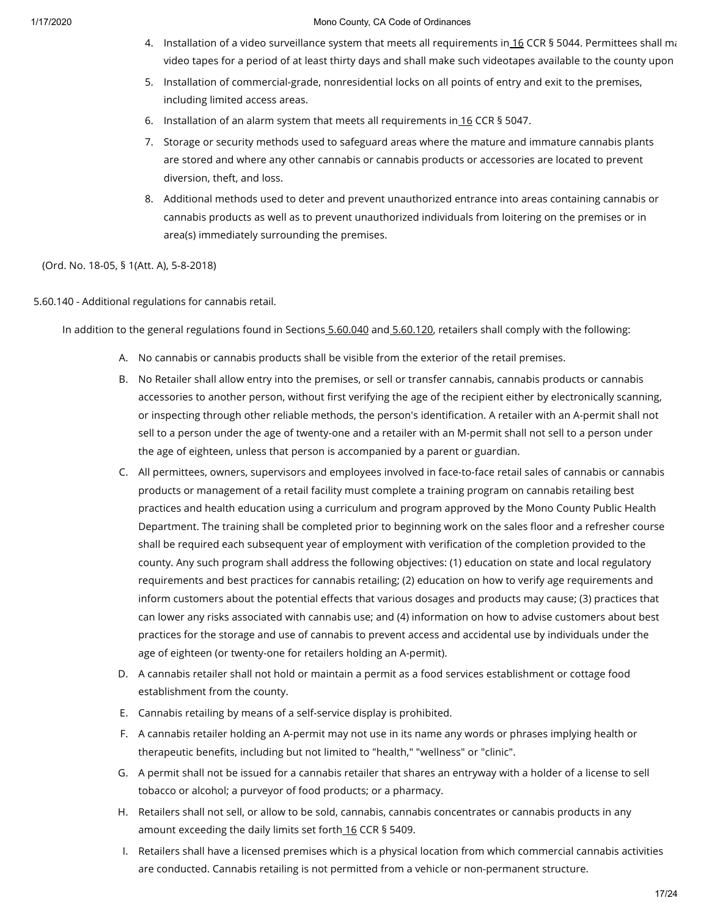- 4. Installation of a video surveillance system that meets all requirements in\_<u>[16](https://library.municode.com/)</u> CCR § 5044. Permittees shall ma video tapes for a period of at least thirty days and shall make such videotapes available to the county upon
- 5. Installation of commercial-grade, nonresidential locks on all points of entry and exit to the premises, including limited access areas.
- 6. Installation of an alarm system that meets all requirements in  $16$  CCR § 5047.
- 7. Storage or security methods used to safeguard areas where the mature and immature cannabis plants are stored and where any other cannabis or cannabis products or accessories are located to prevent diversion, theft, and loss.
- 8. Additional methods used to deter and prevent unauthorized entrance into areas containing cannabis or cannabis products as well as to prevent unauthorized individuals from loitering on the premises or in area(s) immediately surrounding the premises.

(Ord. No. 18-05, § 1(Att. A), 5-8-2018)

5.60.140 - Additional regulations for cannabis retail.

In addition to the general regulations found in Sections [5.60.040](https://library.municode.com/) and [5.60.120](https://library.municode.com/), retailers shall comply with the following:

- A. No cannabis or cannabis products shall be visible from the exterior of the retail premises.
- B. No Retailer shall allow entry into the premises, or sell or transfer cannabis, cannabis products or cannabis accessories to another person, without first verifying the age of the recipient either by electronically scanning, or inspecting through other reliable methods, the person's identification. A retailer with an A-permit shall not sell to a person under the age of twenty-one and a retailer with an M-permit shall not sell to a person under the age of eighteen, unless that person is accompanied by a parent or guardian.
- C. All permittees, owners, supervisors and employees involved in face-to-face retail sales of cannabis or cannabis products or management of a retail facility must complete a training program on cannabis retailing best practices and health education using a curriculum and program approved by the Mono County Public Health Department. The training shall be completed prior to beginning work on the sales floor and a refresher course shall be required each subsequent year of employment with verification of the completion provided to the county. Any such program shall address the following objectives: (1) education on state and local regulatory requirements and best practices for cannabis retailing; (2) education on how to verify age requirements and inform customers about the potential effects that various dosages and products may cause; (3) practices that can lower any risks associated with cannabis use; and (4) information on how to advise customers about best practices for the storage and use of cannabis to prevent access and accidental use by individuals under the age of eighteen (or twenty-one for retailers holding an A-permit).
- D. A cannabis retailer shall not hold or maintain a permit as a food services establishment or cottage food establishment from the county.
- E. Cannabis retailing by means of a self-service display is prohibited.
- F. A cannabis retailer holding an A-permit may not use in its name any words or phrases implying health or therapeutic benefits, including but not limited to "health," "wellness" or "clinic".
- G. A permit shall not be issued for a cannabis retailer that shares an entryway with a holder of a license to sell tobacco or alcohol; a purveyor of food products; or a pharmacy.
- H. Retailers shall not sell, or allow to be sold, cannabis, cannabis concentrates or cannabis products in any amount exceeding the daily limits set forth [16](https://library.municode.com/) CCR § 5409.
- I. Retailers shall have a licensed premises which is a physical location from which commercial cannabis activities are conducted. Cannabis retailing is not permitted from a vehicle or non-permanent structure.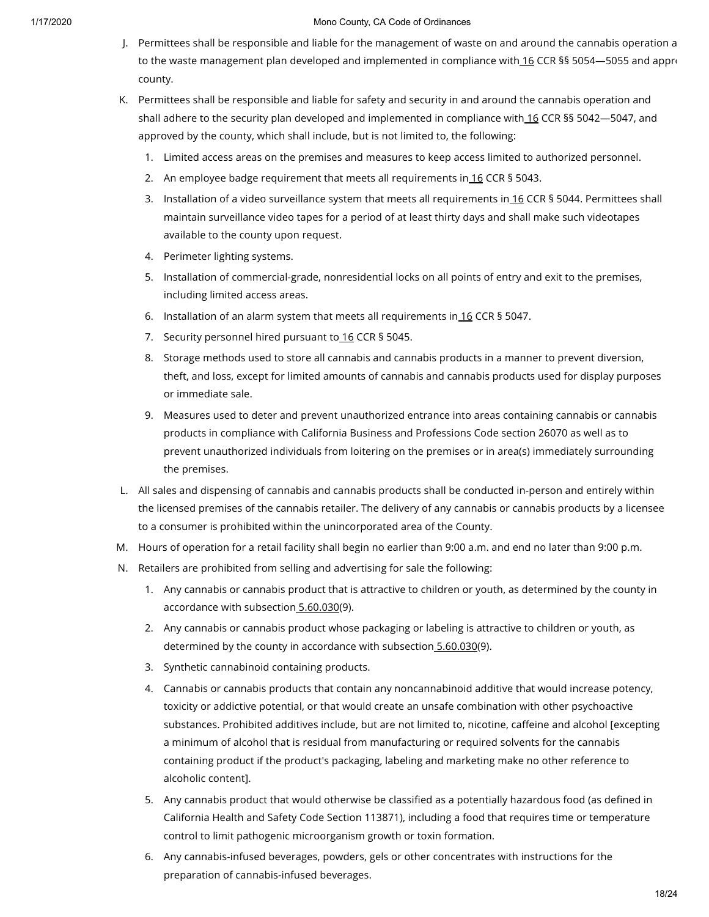- J. Permittees shall be responsible and liable for the management of waste on and around the cannabis operation a to the waste management plan developed and implemented in compliance with [16](https://library.municode.com/) CCR §§ 5054-5055 and approcounty.
- K. Permittees shall be responsible and liable for safety and security in and around the cannabis operation and shall adhere to the security plan developed and implemented in compliance with [16](https://library.municode.com/) CCR §§ 5042—5047, and approved by the county, which shall include, but is not limited to, the following:
	- 1. Limited access areas on the premises and measures to keep access limited to authorized personnel.
	- 2. An employee badge requirement that meets all requirements in [16](https://library.municode.com/) CCR § 5043.
	- 3. Installation of a video surveillance system that meets all requirements in [16](https://library.municode.com/) CCR § 5044. Permittees shall maintain surveillance video tapes for a period of at least thirty days and shall make such videotapes available to the county upon request.
	- 4. Perimeter lighting systems.
	- 5. Installation of commercial-grade, nonresidential locks on all points of entry and exit to the premises, including limited access areas.
	- 6. Installation of an alarm system that meets all requirements in  $16$  CCR § 5047.
	- 7. Security personnel hired pursuant to [16](https://library.municode.com/) CCR § 5045.
	- 8. Storage methods used to store all cannabis and cannabis products in a manner to prevent diversion, theft, and loss, except for limited amounts of cannabis and cannabis products used for display purposes or immediate sale.
	- 9. Measures used to deter and prevent unauthorized entrance into areas containing cannabis or cannabis products in compliance with California Business and Professions Code section 26070 as well as to prevent unauthorized individuals from loitering on the premises or in area(s) immediately surrounding the premises.
- L. All sales and dispensing of cannabis and cannabis products shall be conducted in-person and entirely within the licensed premises of the cannabis retailer. The delivery of any cannabis or cannabis products by a licensee to a consumer is prohibited within the unincorporated area of the County.
- M. Hours of operation for a retail facility shall begin no earlier than 9:00 a.m. and end no later than 9:00 p.m.
- N. Retailers are prohibited from selling and advertising for sale the following:
	- 1. Any cannabis or cannabis product that is attractive to children or youth, as determined by the county in accordance with subsection [5.60.030](https://library.municode.com/)(9).
	- 2. Any cannabis or cannabis product whose packaging or labeling is attractive to children or youth, as determined by the county in accordance with subsection [5.60.030](https://library.municode.com/)(9).
	- 3. Synthetic cannabinoid containing products.
	- 4. Cannabis or cannabis products that contain any noncannabinoid additive that would increase potency, toxicity or addictive potential, or that would create an unsafe combination with other psychoactive substances. Prohibited additives include, but are not limited to, nicotine, caffeine and alcohol [excepting a minimum of alcohol that is residual from manufacturing or required solvents for the cannabis containing product if the product's packaging, labeling and marketing make no other reference to alcoholic content].
	- 5. Any cannabis product that would otherwise be classified as a potentially hazardous food (as defined in California Health and Safety Code Section 113871), including a food that requires time or temperature control to limit pathogenic microorganism growth or toxin formation.
	- 6. Any cannabis-infused beverages, powders, gels or other concentrates with instructions for the preparation of cannabis-infused beverages.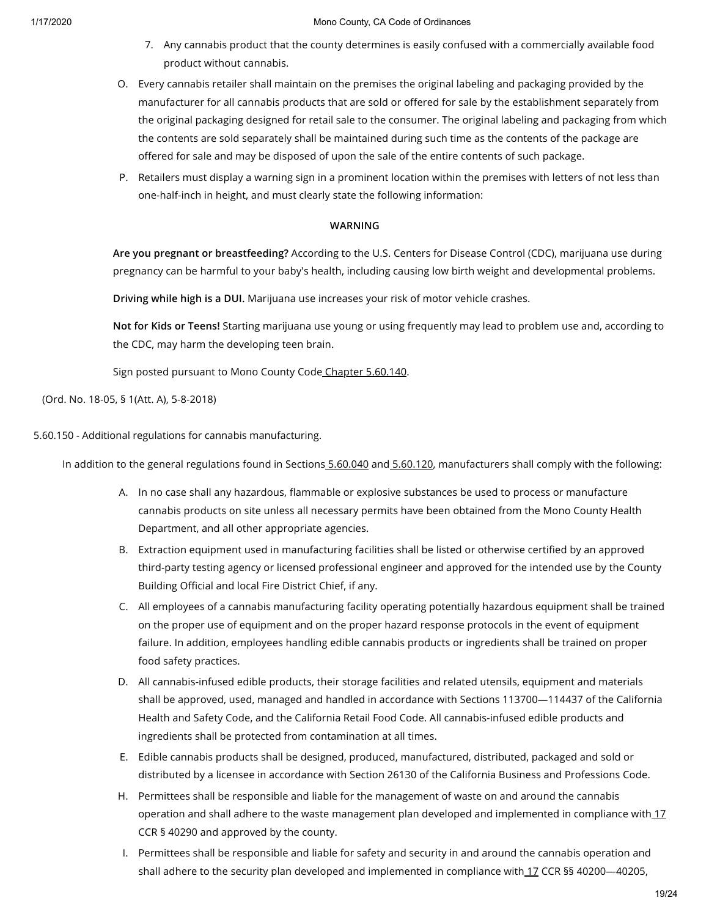- 7. Any cannabis product that the county determines is easily confused with a commercially available food product without cannabis.
- O. Every cannabis retailer shall maintain on the premises the original labeling and packaging provided by the manufacturer for all cannabis products that are sold or offered for sale by the establishment separately from the original packaging designed for retail sale to the consumer. The original labeling and packaging from which the contents are sold separately shall be maintained during such time as the contents of the package are offered for sale and may be disposed of upon the sale of the entire contents of such package.
- P. Retailers must display a warning sign in a prominent location within the premises with letters of not less than one-half-inch in height, and must clearly state the following information:

## **WARNING**

**Are you pregnant or breastfeeding?** According to the U.S. Centers for Disease Control (CDC), marijuana use during pregnancy can be harmful to your baby's health, including causing low birth weight and developmental problems.

**Driving while high is a DUI.** Marijuana use increases your risk of motor vehicle crashes.

**Not for Kids or Teens!** Starting marijuana use young or using frequently may lead to problem use and, according to the CDC, may harm the developing teen brain.

Sign posted pursuant to Mono County Code Chapter [5.60.140](https://library.municode.com/).

(Ord. No. 18-05, § 1(Att. A), 5-8-2018)

5.60.150 - Additional regulations for cannabis manufacturing.

In addition to the general regulations found in Sections [5.60.040](https://library.municode.com/) and [5.60.120](https://library.municode.com/), manufacturers shall comply with the following:

- A. In no case shall any hazardous, flammable or explosive substances be used to process or manufacture cannabis products on site unless all necessary permits have been obtained from the Mono County Health Department, and all other appropriate agencies.
- B. Extraction equipment used in manufacturing facilities shall be listed or otherwise certified by an approved third-party testing agency or licensed professional engineer and approved for the intended use by the County Building Official and local Fire District Chief, if any.
- C. All employees of a cannabis manufacturing facility operating potentially hazardous equipment shall be trained on the proper use of equipment and on the proper hazard response protocols in the event of equipment failure. In addition, employees handling edible cannabis products or ingredients shall be trained on proper food safety practices.
- D. All cannabis-infused edible products, their storage facilities and related utensils, equipment and materials shall be approved, used, managed and handled in accordance with Sections 113700—114437 of the California Health and Safety Code, and the California Retail Food Code. All cannabis-infused edible products and ingredients shall be protected from contamination at all times.
- E. Edible cannabis products shall be designed, produced, manufactured, distributed, packaged and sold or distributed by a licensee in accordance with Section 26130 of the California Business and Professions Code.
- H. Permittees shall be responsible and liable for the management of waste on and around the cannabis operation and shall adhere to the waste management plan developed and implemented in compliance with [17](https://library.municode.com/) CCR § 40290 and approved by the county.
- I. Permittees shall be responsible and liable for safety and security in and around the cannabis operation and shall adhere to the security plan developed and implemented in compliance with [17](https://library.municode.com/) CCR §§ 40200-40205,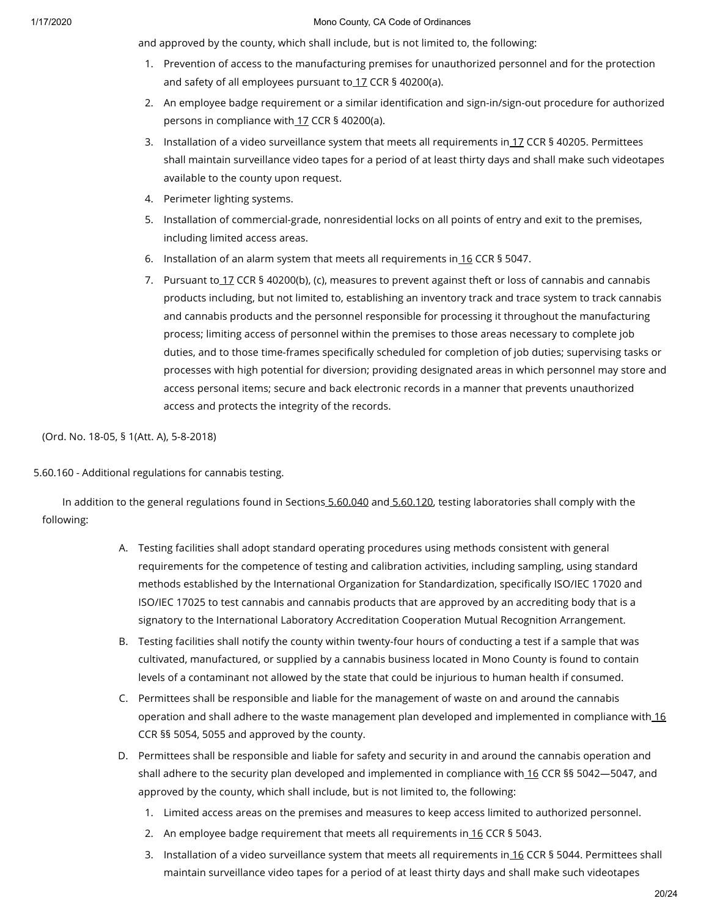and approved by the county, which shall include, but is not limited to, the following:

- 1. Prevention of access to the manufacturing premises for unauthorized personnel and for the protection and safety of all employees pursuant to [17](https://library.municode.com/) CCR § 40200(a).
- 2. An employee badge requirement or a similar identification and sign-in/sign-out procedure for authorized persons in compliance with [17](https://library.municode.com/) CCR § 40200(a).
- 3. Installation of a video surveillance system that meets all requirements in <u>[17](https://library.municode.com/)</u> CCR § 40205. Permittees shall maintain surveillance video tapes for a period of at least thirty days and shall make such videotapes available to the county upon request.
- 4. Perimeter lighting systems.
- 5. Installation of commercial-grade, nonresidential locks on all points of entry and exit to the premises, including limited access areas.
- 6. Installation of an alarm system that meets all requirements in  $16$  CCR § 5047.
- 7. Pursuant to <u>[17](https://library.municode.com/)</u> CCR § 40200(b), (c), measures to prevent against theft or loss of cannabis and cannabis products including, but not limited to, establishing an inventory track and trace system to track cannabis and cannabis products and the personnel responsible for processing it throughout the manufacturing process; limiting access of personnel within the premises to those areas necessary to complete job duties, and to those time-frames specifically scheduled for completion of job duties; supervising tasks or processes with high potential for diversion; providing designated areas in which personnel may store and access personal items; secure and back electronic records in a manner that prevents unauthorized access and protects the integrity of the records.

(Ord. No. 18-05, § 1(Att. A), 5-8-2018)

5.60.160 - Additional regulations for cannabis testing.

In addition to the general regulations found in Sections [5.60.040](https://library.municode.com/) and [5.60.120](https://library.municode.com/), testing laboratories shall comply with the following:

- A. Testing facilities shall adopt standard operating procedures using methods consistent with general requirements for the competence of testing and calibration activities, including sampling, using standard methods established by the International Organization for Standardization, specifically ISO/IEC 17020 and ISO/IEC 17025 to test cannabis and cannabis products that are approved by an accrediting body that is a signatory to the International Laboratory Accreditation Cooperation Mutual Recognition Arrangement.
- B. Testing facilities shall notify the county within twenty-four hours of conducting a test if a sample that was cultivated, manufactured, or supplied by a cannabis business located in Mono County is found to contain levels of a contaminant not allowed by the state that could be injurious to human health if consumed.
- C. Permittees shall be responsible and liable for the management of waste on and around the cannabis operation and shall adhere to the waste management plan developed and implemented in compliance with [16](https://library.municode.com/) CCR §§ 5054, 5055 and approved by the county.
- D. Permittees shall be responsible and liable for safety and security in and around the cannabis operation and shall adhere to the security plan developed and implemented in compliance with [16](https://library.municode.com/) CCR §§ 5042—5047, and approved by the county, which shall include, but is not limited to, the following:
	- 1. Limited access areas on the premises and measures to keep access limited to authorized personnel.
	- 2. An employee badge requirement that meets all requirements in [16](https://library.municode.com/) CCR § 5043.
	- 3. Installation of a video surveillance system that meets all requirements in [16](https://library.municode.com/) CCR § 5044. Permittees shall maintain surveillance video tapes for a period of at least thirty days and shall make such videotapes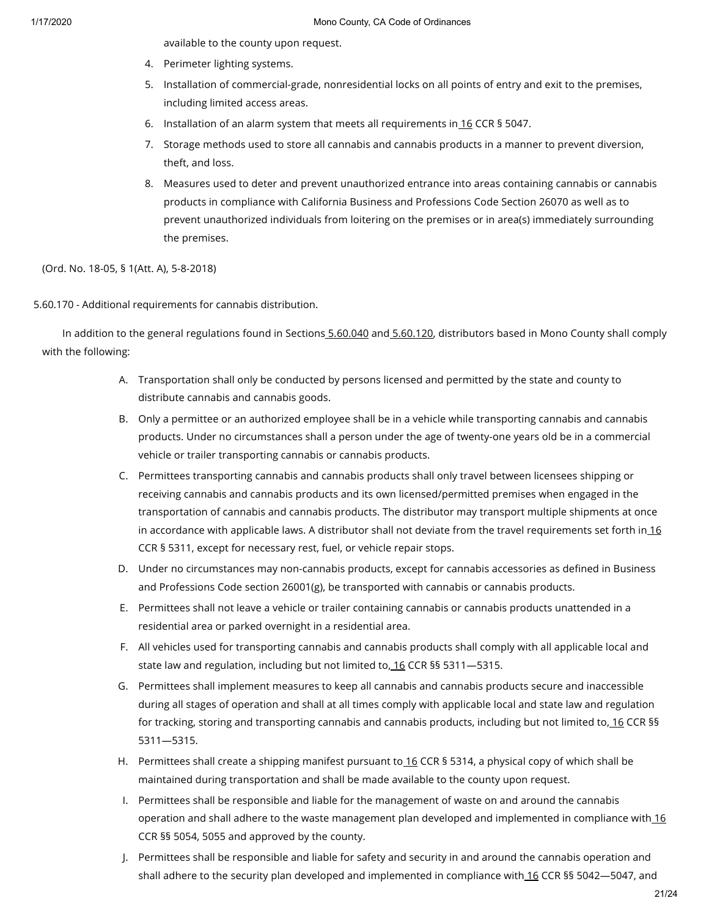available to the county upon request.

- 4. Perimeter lighting systems.
- 5. Installation of commercial-grade, nonresidential locks on all points of entry and exit to the premises, including limited access areas.
- 6. Installation of an alarm system that meets all requirements in  $16$  CCR § 5047.
- 7. Storage methods used to store all cannabis and cannabis products in a manner to prevent diversion, theft, and loss.
- 8. Measures used to deter and prevent unauthorized entrance into areas containing cannabis or cannabis products in compliance with California Business and Professions Code Section 26070 as well as to prevent unauthorized individuals from loitering on the premises or in area(s) immediately surrounding the premises.

(Ord. No. 18-05, § 1(Att. A), 5-8-2018)

# 5.60.170 - Additional requirements for cannabis distribution.

In addition to the general regulations found in Sections [5.60.040](https://library.municode.com/) and [5.60.120](https://library.municode.com/), distributors based in Mono County shall comply with the following:

- A. Transportation shall only be conducted by persons licensed and permitted by the state and county to distribute cannabis and cannabis goods.
- B. Only a permittee or an authorized employee shall be in a vehicle while transporting cannabis and cannabis products. Under no circumstances shall a person under the age of twenty-one years old be in a commercial vehicle or trailer transporting cannabis or cannabis products.
- C. Permittees transporting cannabis and cannabis products shall only travel between licensees shipping or receiving cannabis and cannabis products and its own licensed/permitted premises when engaged in the transportation of cannabis and cannabis products. The distributor may transport multiple shipments at once in accordance with applicable laws. A distributor shall not deviate from the travel requirements set forth in  $16$ CCR § 5311, except for necessary rest, fuel, or vehicle repair stops.
- D. Under no circumstances may non-cannabis products, except for cannabis accessories as defined in Business and Professions Code section 26001(g), be transported with cannabis or cannabis products.
- E. Permittees shall not leave a vehicle or trailer containing cannabis or cannabis products unattended in a residential area or parked overnight in a residential area.
- F. All vehicles used for transporting cannabis and cannabis products shall comply with all applicable local and state law and regulation, including but not limited to, [16](https://library.municode.com/) CCR §§ 5311—5315.
- G. Permittees shall implement measures to keep all cannabis and cannabis products secure and inaccessible during all stages of operation and shall at all times comply with applicable local and state law and regulation for tracking, storing and transporting cannabis and cannabis products, including but not limited to, [16](https://library.municode.com/) CCR §§ 5311—5315.
- H. Permittees shall create a shipping manifest pursuant to<u>.[16](https://library.municode.com/)</u> CCR § 5314, a physical copy of which shall be maintained during transportation and shall be made available to the county upon request.
- I. Permittees shall be responsible and liable for the management of waste on and around the cannabis operation and shall adhere to the waste management plan developed and implemented in compliance with [16](https://library.municode.com/) CCR §§ 5054, 5055 and approved by the county.
- J. Permittees shall be responsible and liable for safety and security in and around the cannabis operation and shall adhere to the security plan developed and implemented in compliance with [16](https://library.municode.com/) CCR §§ 5042-5047, and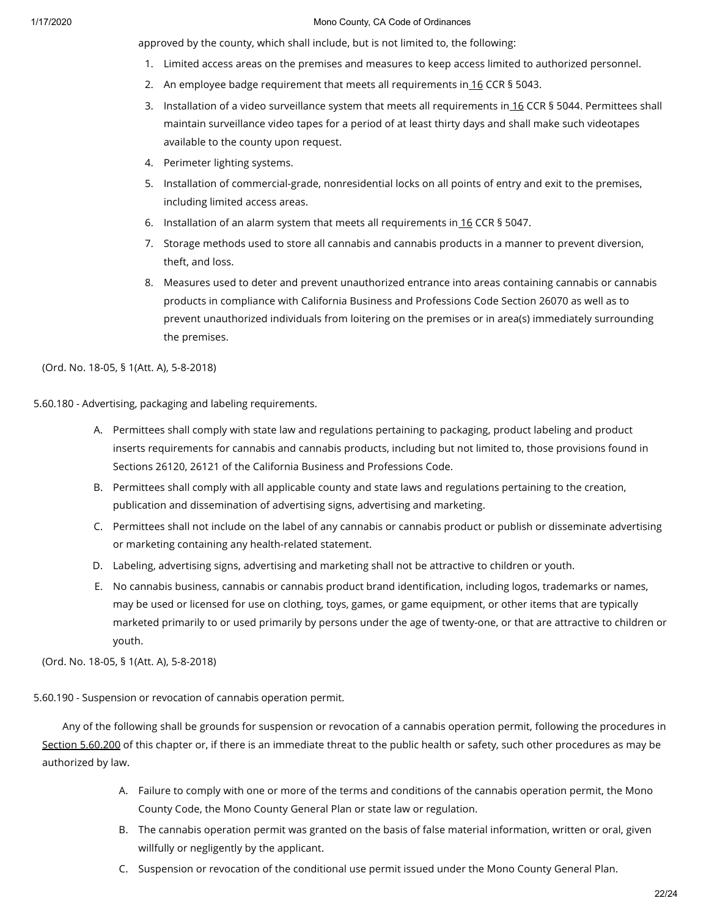approved by the county, which shall include, but is not limited to, the following:

- 1. Limited access areas on the premises and measures to keep access limited to authorized personnel.
- 2. An employee badge requirement that meets all requirements in [16](https://library.municode.com/) CCR § 5043.
- 3. Installation of a video surveillance system that meets all requirements in [16](https://library.municode.com/) CCR § 5044. Permittees shall maintain surveillance video tapes for a period of at least thirty days and shall make such videotapes available to the county upon request.
- 4. Perimeter lighting systems.
- 5. Installation of commercial-grade, nonresidential locks on all points of entry and exit to the premises, including limited access areas.
- 6. Installation of an alarm system that meets all requirements in  $16$  CCR § 5047.
- 7. Storage methods used to store all cannabis and cannabis products in a manner to prevent diversion, theft, and loss.
- 8. Measures used to deter and prevent unauthorized entrance into areas containing cannabis or cannabis products in compliance with California Business and Professions Code Section 26070 as well as to prevent unauthorized individuals from loitering on the premises or in area(s) immediately surrounding the premises.

(Ord. No. 18-05, § 1(Att. A), 5-8-2018)

5.60.180 - Advertising, packaging and labeling requirements.

- A. Permittees shall comply with state law and regulations pertaining to packaging, product labeling and product inserts requirements for cannabis and cannabis products, including but not limited to, those provisions found in Sections 26120, 26121 of the California Business and Professions Code.
- B. Permittees shall comply with all applicable county and state laws and regulations pertaining to the creation, publication and dissemination of advertising signs, advertising and marketing.
- C. Permittees shall not include on the label of any cannabis or cannabis product or publish or disseminate advertising or marketing containing any health-related statement.
- D. Labeling, advertising signs, advertising and marketing shall not be attractive to children or youth.
- E. No cannabis business, cannabis or cannabis product brand identification, including logos, trademarks or names, may be used or licensed for use on clothing, toys, games, or game equipment, or other items that are typically marketed primarily to or used primarily by persons under the age of twenty-one, or that are attractive to children or youth.

(Ord. No. 18-05, § 1(Att. A), 5-8-2018)

5.60.190 - Suspension or revocation of cannabis operation permit.

Any of the following shall be grounds for suspension or revocation of a cannabis operation permit, following the procedures in Section [5.60.200](https://library.municode.com/) of this chapter or, if there is an immediate threat to the public health or safety, such other procedures as may be authorized by law.

- A. Failure to comply with one or more of the terms and conditions of the cannabis operation permit, the Mono County Code, the Mono County General Plan or state law or regulation.
- B. The cannabis operation permit was granted on the basis of false material information, written or oral, given willfully or negligently by the applicant.
- C. Suspension or revocation of the conditional use permit issued under the Mono County General Plan.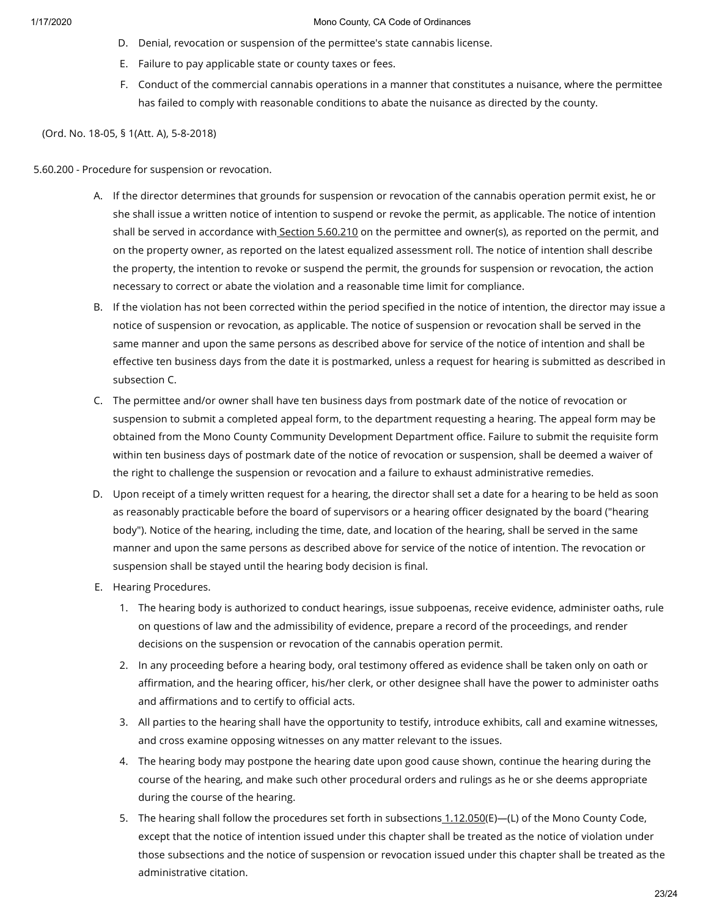- D. Denial, revocation or suspension of the permittee's state cannabis license.
- E. Failure to pay applicable state or county taxes or fees.
- F. Conduct of the commercial cannabis operations in a manner that constitutes a nuisance, where the permittee has failed to comply with reasonable conditions to abate the nuisance as directed by the county.

(Ord. No. 18-05, § 1(Att. A), 5-8-2018)

5.60.200 - Procedure for suspension or revocation.

- A. If the director determines that grounds for suspension or revocation of the cannabis operation permit exist, he or she shall issue a written notice of intention to suspend or revoke the permit, as applicable. The notice of intention shall be served in accordance with Section [5.60.210](https://library.municode.com/) on the permittee and owner(s), as reported on the permit, and on the property owner, as reported on the latest equalized assessment roll. The notice of intention shall describe the property, the intention to revoke or suspend the permit, the grounds for suspension or revocation, the action necessary to correct or abate the violation and a reasonable time limit for compliance.
- B. If the violation has not been corrected within the period specified in the notice of intention, the director may issue a notice of suspension or revocation, as applicable. The notice of suspension or revocation shall be served in the same manner and upon the same persons as described above for service of the notice of intention and shall be effective ten business days from the date it is postmarked, unless a request for hearing is submitted as described in subsection C.
- C. The permittee and/or owner shall have ten business days from postmark date of the notice of revocation or suspension to submit a completed appeal form, to the department requesting a hearing. The appeal form may be obtained from the Mono County Community Development Department office. Failure to submit the requisite form within ten business days of postmark date of the notice of revocation or suspension, shall be deemed a waiver of the right to challenge the suspension or revocation and a failure to exhaust administrative remedies.
- D. Upon receipt of a timely written request for a hearing, the director shall set a date for a hearing to be held as soon as reasonably practicable before the board of supervisors or a hearing officer designated by the board ("hearing body"). Notice of the hearing, including the time, date, and location of the hearing, shall be served in the same manner and upon the same persons as described above for service of the notice of intention. The revocation or suspension shall be stayed until the hearing body decision is final.
- E. Hearing Procedures.
	- 1. The hearing body is authorized to conduct hearings, issue subpoenas, receive evidence, administer oaths, rule on questions of law and the admissibility of evidence, prepare a record of the proceedings, and render decisions on the suspension or revocation of the cannabis operation permit.
	- 2. In any proceeding before a hearing body, oral testimony offered as evidence shall be taken only on oath or affirmation, and the hearing officer, his/her clerk, or other designee shall have the power to administer oaths and affirmations and to certify to official acts.
	- 3. All parties to the hearing shall have the opportunity to testify, introduce exhibits, call and examine witnesses, and cross examine opposing witnesses on any matter relevant to the issues.
	- 4. The hearing body may postpone the hearing date upon good cause shown, continue the hearing during the course of the hearing, and make such other procedural orders and rulings as he or she deems appropriate during the course of the hearing.
	- 5. The hearing shall follow the procedures set forth in subsections [1.12.050](https://library.municode.com/)(E)—(L) of the Mono County Code, except that the notice of intention issued under this chapter shall be treated as the notice of violation under those subsections and the notice of suspension or revocation issued under this chapter shall be treated as the administrative citation.